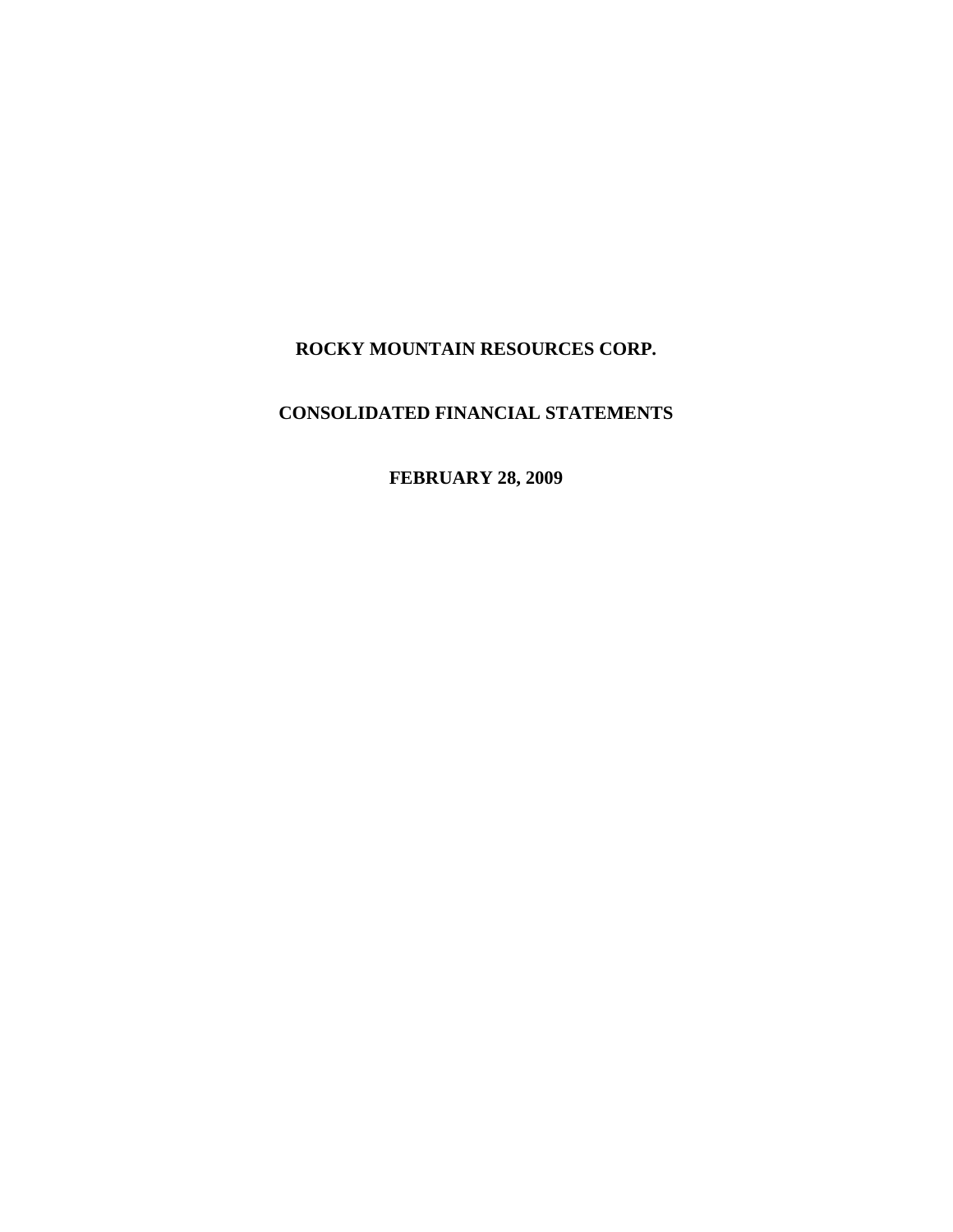# **ROCKY MOUNTAIN RESOURCES CORP.**

# **CONSOLIDATED FINANCIAL STATEMENTS**

**FEBRUARY 28, 2009**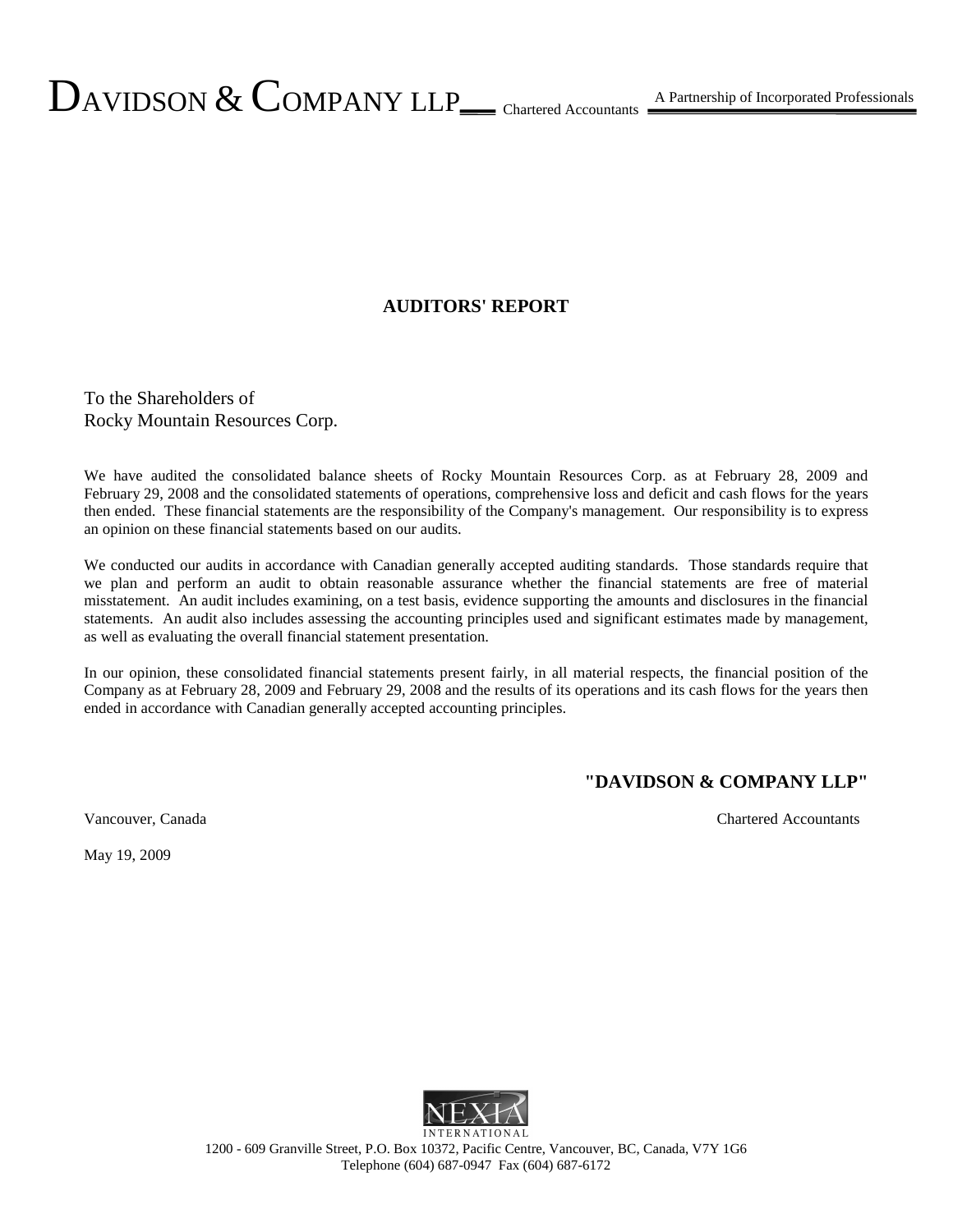# **AUDITORS' REPORT**

To the Shareholders of Rocky Mountain Resources Corp.

We have audited the consolidated balance sheets of Rocky Mountain Resources Corp. as at February 28, 2009 and February 29, 2008 and the consolidated statements of operations, comprehensive loss and deficit and cash flows for the years then ended. These financial statements are the responsibility of the Company's management. Our responsibility is to express an opinion on these financial statements based on our audits.

We conducted our audits in accordance with Canadian generally accepted auditing standards. Those standards require that we plan and perform an audit to obtain reasonable assurance whether the financial statements are free of material misstatement. An audit includes examining, on a test basis, evidence supporting the amounts and disclosures in the financial statements. An audit also includes assessing the accounting principles used and significant estimates made by management, as well as evaluating the overall financial statement presentation.

In our opinion, these consolidated financial statements present fairly, in all material respects, the financial position of the Company as at February 28, 2009 and February 29, 2008 and the results of its operations and its cash flows for the years then ended in accordance with Canadian generally accepted accounting principles.

# **"DAVIDSON & COMPANY LLP"**

Vancouver, Canada Chartered Accountants

May 19, 2009



1200 - 609 Granville Street, P.O. Box 10372, Pacific Centre, Vancouver, BC, Canada, V7Y 1G6 Telephone (604) 687-0947 Fax (604) 687-6172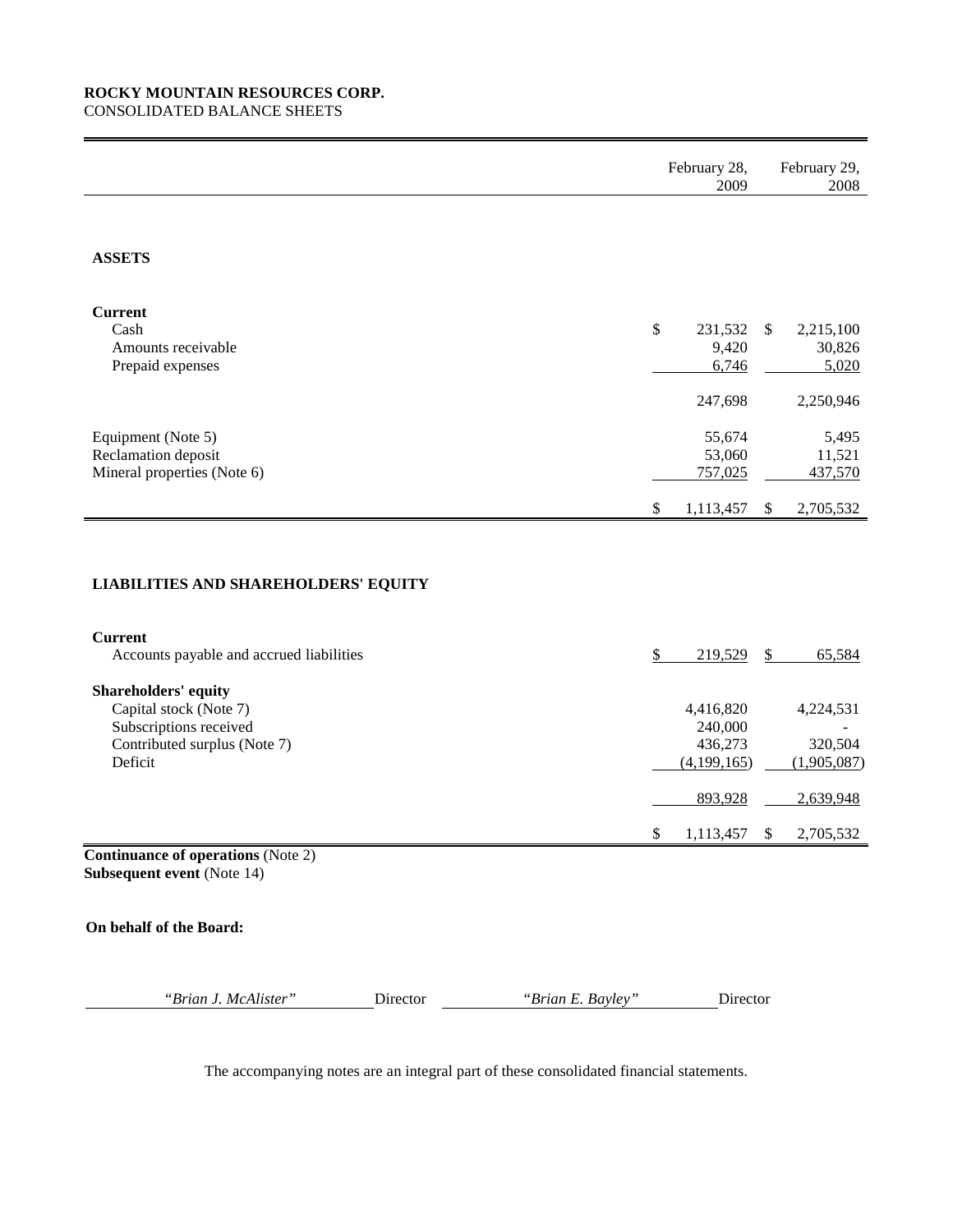# **ROCKY MOUNTAIN RESOURCES CORP.**  CONSOLIDATED BALANCE SHEETS

|                                                | February 28,<br>2009   |              | February 29,<br>2008 |
|------------------------------------------------|------------------------|--------------|----------------------|
|                                                |                        |              |                      |
| <b>ASSETS</b>                                  |                        |              |                      |
| <b>Current</b>                                 |                        |              |                      |
| Cash<br>Amounts receivable                     | \$<br>231,532<br>9,420 | \$           | 2,215,100<br>30,826  |
| Prepaid expenses                               | 6,746                  |              | 5,020                |
|                                                |                        |              |                      |
|                                                | 247,698                |              | 2,250,946            |
| Equipment (Note 5)                             | 55,674                 |              | 5,495                |
| Reclamation deposit                            | 53,060                 |              | 11,521               |
| Mineral properties (Note 6)                    | 757,025                |              | 437,570              |
|                                                |                        |              |                      |
|                                                | \$<br>1,113,457        | $\mathbb{S}$ | 2,705,532            |
|                                                |                        |              |                      |
| <b>LIABILITIES AND SHAREHOLDERS' EQUITY</b>    |                        |              |                      |
|                                                |                        |              |                      |
| <b>Current</b>                                 |                        |              |                      |
| Accounts payable and accrued liabilities       | \$<br>219,529          | $\mathbb{S}$ | 65,584               |
|                                                |                        |              |                      |
| Shareholders' equity<br>Capital stock (Note 7) | 4,416,820              |              | 4,224,531            |
| Subscriptions received                         | 240,000                |              |                      |
| Contributed surplus (Note 7)                   | 436,273                |              | 320,504              |
| Deficit                                        | (4,199,165)            |              | (1,905,087)          |
|                                                |                        |              |                      |
|                                                | 893,928                |              | 2,639,948            |
|                                                | \$<br>1,113,457        | \$           | 2,705,532            |
| <b>Continuance of operations (Note 2)</b>      |                        |              |                      |

**Subsequent event** (Note 14)

**On behalf of the Board:** 

*"Brian J. McAlister"* Director *"Brian E. Bayley"* Director

The accompanying notes are an integral part of these consolidated financial statements.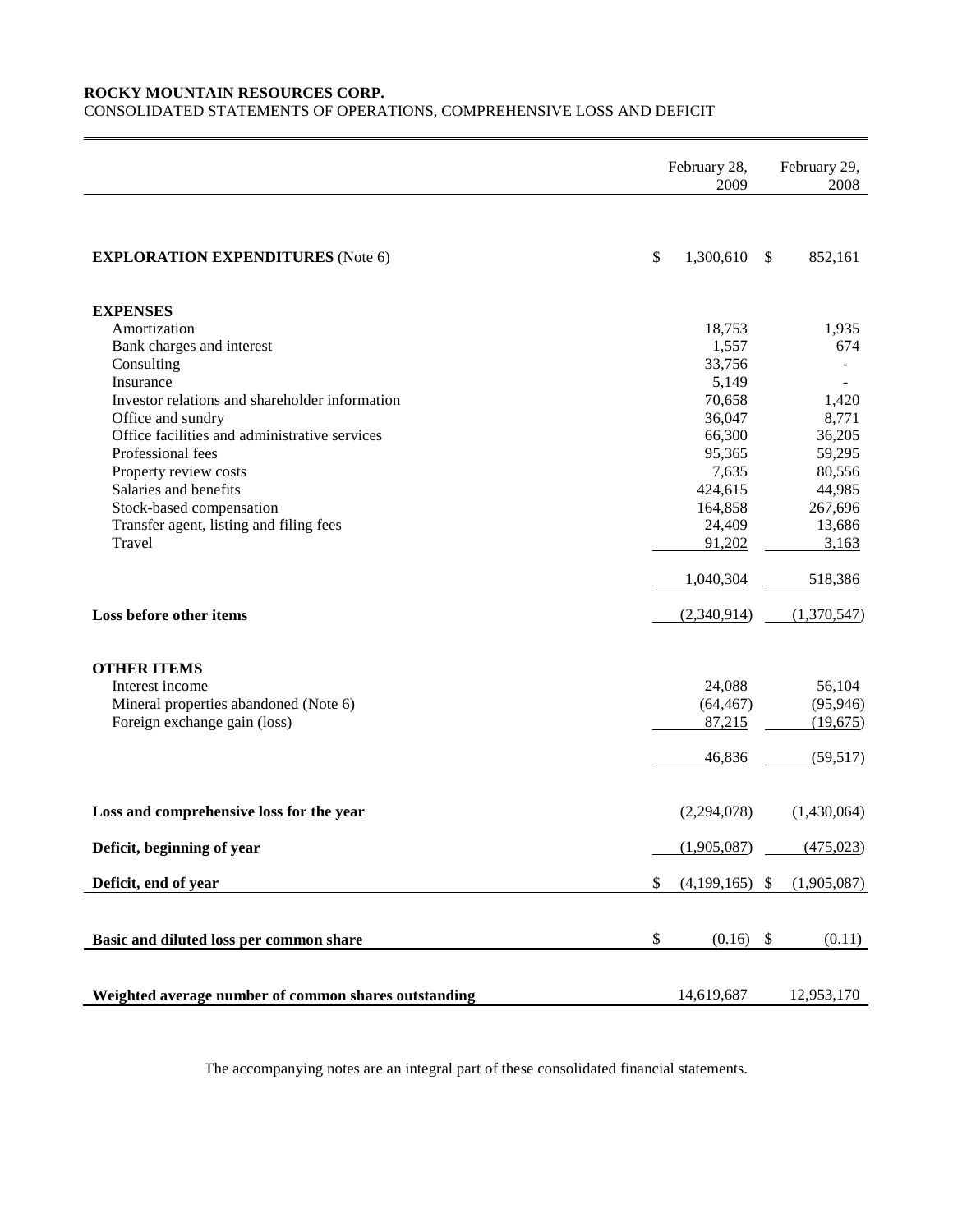# **ROCKY MOUNTAIN RESOURCES CORP.**

# CONSOLIDATED STATEMENTS OF OPERATIONS, COMPREHENSIVE LOSS AND DEFICIT

|                                                                     | February 28,<br>2009 |                           | February 29,<br>2008     |
|---------------------------------------------------------------------|----------------------|---------------------------|--------------------------|
|                                                                     |                      |                           |                          |
| <b>EXPLORATION EXPENDITURES</b> (Note 6)                            | \$<br>1,300,610      | $\mathcal{S}$             | 852,161                  |
| <b>EXPENSES</b>                                                     |                      |                           |                          |
| Amortization                                                        | 18,753               |                           | 1,935                    |
| Bank charges and interest                                           | 1,557                |                           | 674                      |
| Consulting                                                          | 33,756               |                           |                          |
| Insurance                                                           | 5,149                |                           | $\overline{\phantom{a}}$ |
| Investor relations and shareholder information<br>Office and sundry | 70,658<br>36,047     |                           | 1,420<br>8,771           |
| Office facilities and administrative services                       | 66,300               |                           | 36,205                   |
| Professional fees                                                   | 95,365               |                           | 59,295                   |
| Property review costs                                               | 7,635                |                           | 80,556                   |
| Salaries and benefits                                               | 424,615              |                           | 44,985                   |
| Stock-based compensation                                            | 164,858              |                           | 267,696                  |
| Transfer agent, listing and filing fees                             | 24,409               |                           | 13,686                   |
| Travel                                                              | 91,202               |                           | 3,163                    |
|                                                                     | 1,040,304            |                           | 518,386                  |
| Loss before other items                                             | (2,340,914)          |                           | (1,370,547)              |
| <b>OTHER ITEMS</b>                                                  |                      |                           |                          |
| Interest income                                                     | 24,088               |                           | 56,104                   |
| Mineral properties abandoned (Note 6)                               | (64, 467)            |                           | (95, 946)                |
| Foreign exchange gain (loss)                                        | 87,215               |                           | (19,675)                 |
|                                                                     | 46,836               |                           | (59,517)                 |
|                                                                     | (2,294,078)          |                           | (1,430,064)              |
| Loss and comprehensive loss for the year                            |                      |                           |                          |
| Deficit, beginning of year                                          | (1,905,087)          |                           | (475, 023)               |
| Deficit, end of year                                                | \$<br>(4,199,165)    | $\sqrt[6]{\frac{1}{2}}$   | (1,905,087)              |
|                                                                     |                      |                           |                          |
| Basic and diluted loss per common share                             | \$<br>(0.16)         | $\boldsymbol{\mathsf{S}}$ | (0.11)                   |
|                                                                     |                      |                           |                          |
| Weighted average number of common shares outstanding                | 14,619,687           |                           | 12,953,170               |

The accompanying notes are an integral part of these consolidated financial statements.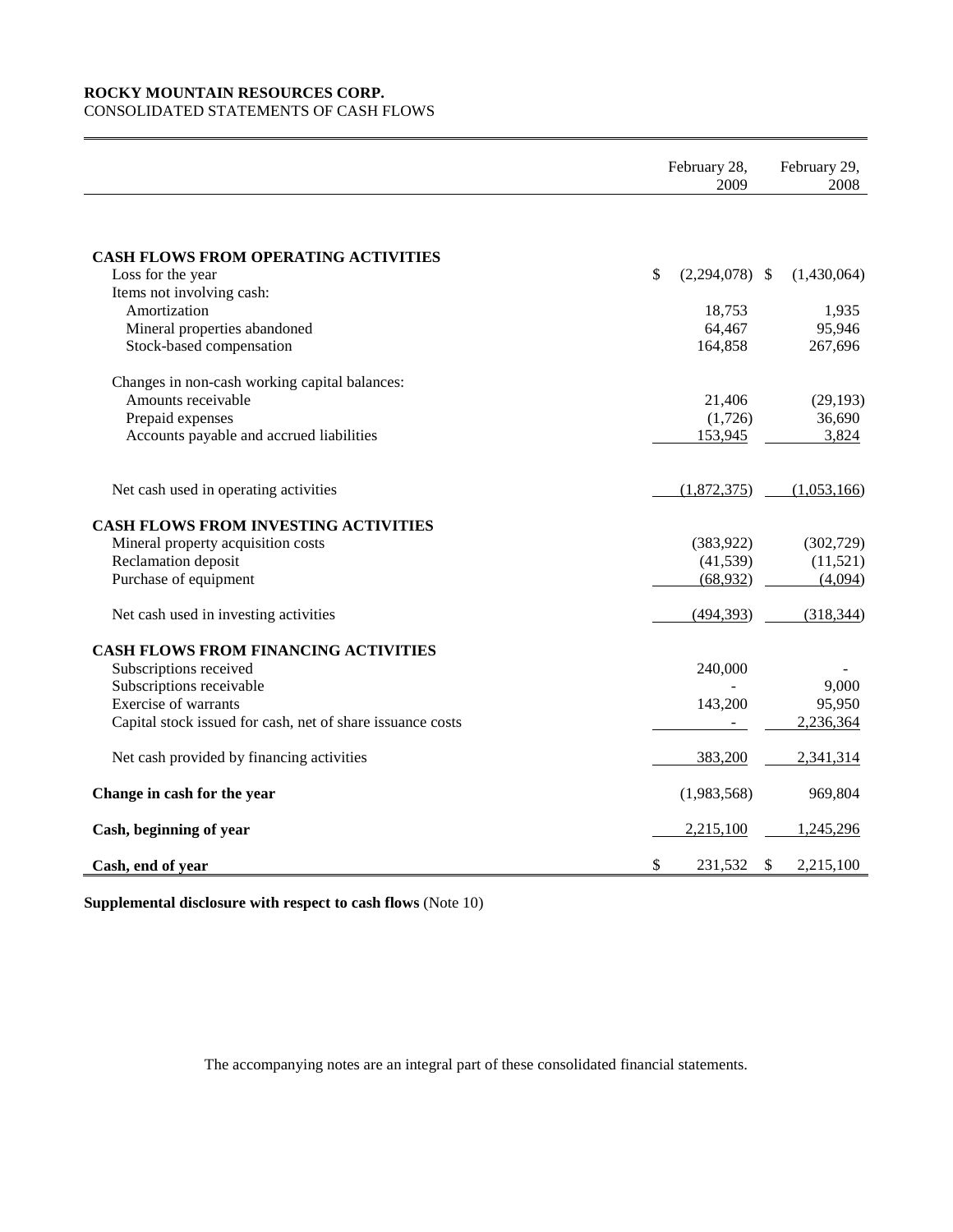# **ROCKY MOUNTAIN RESOURCES CORP.**

CONSOLIDATED STATEMENTS OF CASH FLOWS

|                                                            |              | February 28,<br>2009 | February 29,<br>2008 |
|------------------------------------------------------------|--------------|----------------------|----------------------|
|                                                            |              |                      |                      |
| <b>CASH FLOWS FROM OPERATING ACTIVITIES</b>                |              |                      |                      |
| Loss for the year                                          | $\mathbb{S}$ | $(2,294,078)$ \$     | (1,430,064)          |
| Items not involving cash:                                  |              |                      |                      |
| Amortization                                               |              | 18,753               | 1,935                |
| Mineral properties abandoned                               |              | 64,467               | 95,946               |
| Stock-based compensation                                   |              | 164,858              | 267,696              |
| Changes in non-cash working capital balances:              |              |                      |                      |
| Amounts receivable                                         |              | 21,406               | (29, 193)            |
| Prepaid expenses                                           |              | (1,726)              | 36,690               |
| Accounts payable and accrued liabilities                   |              | 153,945              | 3,824                |
| Net cash used in operating activities                      |              | (1,872,375)          | (1,053,166)          |
| <b>CASH FLOWS FROM INVESTING ACTIVITIES</b>                |              |                      |                      |
| Mineral property acquisition costs                         |              | (383, 922)           | (302, 729)           |
| Reclamation deposit                                        |              | (41, 539)            | (11,521)             |
| Purchase of equipment                                      |              | (68, 932)            | (4,094)              |
| Net cash used in investing activities                      |              | (494, 393)           | (318, 344)           |
| <b>CASH FLOWS FROM FINANCING ACTIVITIES</b>                |              |                      |                      |
| Subscriptions received                                     |              | 240,000              |                      |
| Subscriptions receivable                                   |              |                      | 9,000                |
| Exercise of warrants                                       |              | 143,200              | 95,950               |
| Capital stock issued for cash, net of share issuance costs |              |                      | 2,236,364            |
| Net cash provided by financing activities                  |              | 383,200              | 2,341,314            |
| Change in cash for the year                                |              | (1,983,568)          | 969,804              |
| Cash, beginning of year                                    |              | 2,215,100            | 1,245,296            |
| Cash, end of year                                          | \$           | 231,532              | \$<br>2,215,100      |

**Supplemental disclosure with respect to cash flows** (Note 10)

The accompanying notes are an integral part of these consolidated financial statements.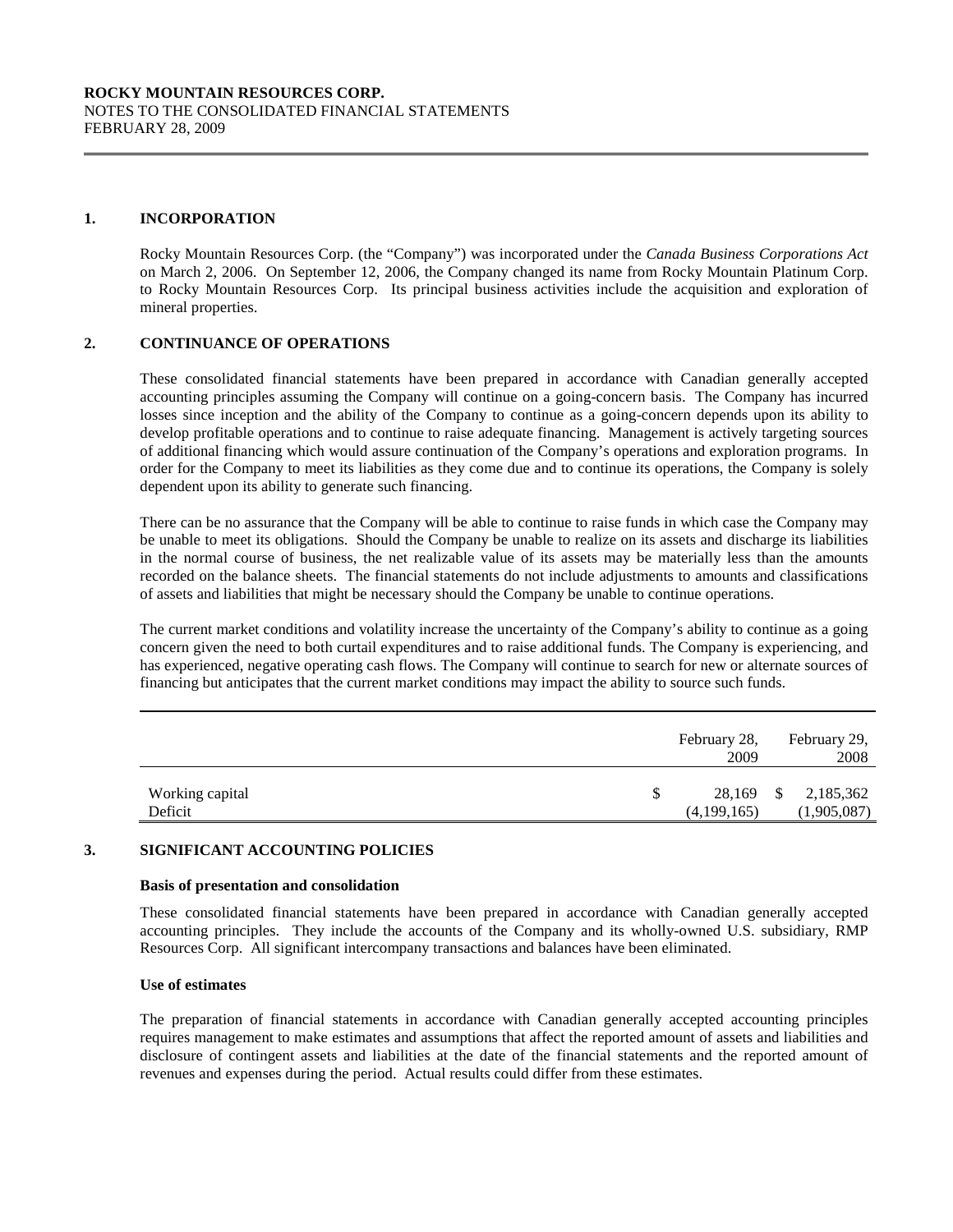# **1. INCORPORATION**

 $\overline{a}$ 

 Rocky Mountain Resources Corp. (the "Company") was incorporated under the *Canada Business Corporations Act* on March 2, 2006. On September 12, 2006, the Company changed its name from Rocky Mountain Platinum Corp. to Rocky Mountain Resources Corp. Its principal business activities include the acquisition and exploration of mineral properties.

# **2. CONTINUANCE OF OPERATIONS**

 These consolidated financial statements have been prepared in accordance with Canadian generally accepted accounting principles assuming the Company will continue on a going-concern basis. The Company has incurred losses since inception and the ability of the Company to continue as a going-concern depends upon its ability to develop profitable operations and to continue to raise adequate financing. Management is actively targeting sources of additional financing which would assure continuation of the Company's operations and exploration programs. In order for the Company to meet its liabilities as they come due and to continue its operations, the Company is solely dependent upon its ability to generate such financing.

 There can be no assurance that the Company will be able to continue to raise funds in which case the Company may be unable to meet its obligations. Should the Company be unable to realize on its assets and discharge its liabilities in the normal course of business, the net realizable value of its assets may be materially less than the amounts recorded on the balance sheets. The financial statements do not include adjustments to amounts and classifications of assets and liabilities that might be necessary should the Company be unable to continue operations.

 The current market conditions and volatility increase the uncertainty of the Company's ability to continue as a going concern given the need to both curtail expenditures and to raise additional funds. The Company is experiencing, and has experienced, negative operating cash flows. The Company will continue to search for new or alternate sources of financing but anticipates that the current market conditions may impact the ability to source such funds.

|                            |   | February 28,<br>2009  |    | February 29,<br>2008     |
|----------------------------|---|-----------------------|----|--------------------------|
| Working capital<br>Deficit | S | 28,169<br>(4,199,165) | -S | 2,185,362<br>(1,905,087) |

# **3. SIGNIFICANT ACCOUNTING POLICIES**

#### **Basis of presentation and consolidation**

These consolidated financial statements have been prepared in accordance with Canadian generally accepted accounting principles. They include the accounts of the Company and its wholly-owned U.S. subsidiary, RMP Resources Corp. All significant intercompany transactions and balances have been eliminated.

## **Use of estimates**

 The preparation of financial statements in accordance with Canadian generally accepted accounting principles requires management to make estimates and assumptions that affect the reported amount of assets and liabilities and disclosure of contingent assets and liabilities at the date of the financial statements and the reported amount of revenues and expenses during the period. Actual results could differ from these estimates.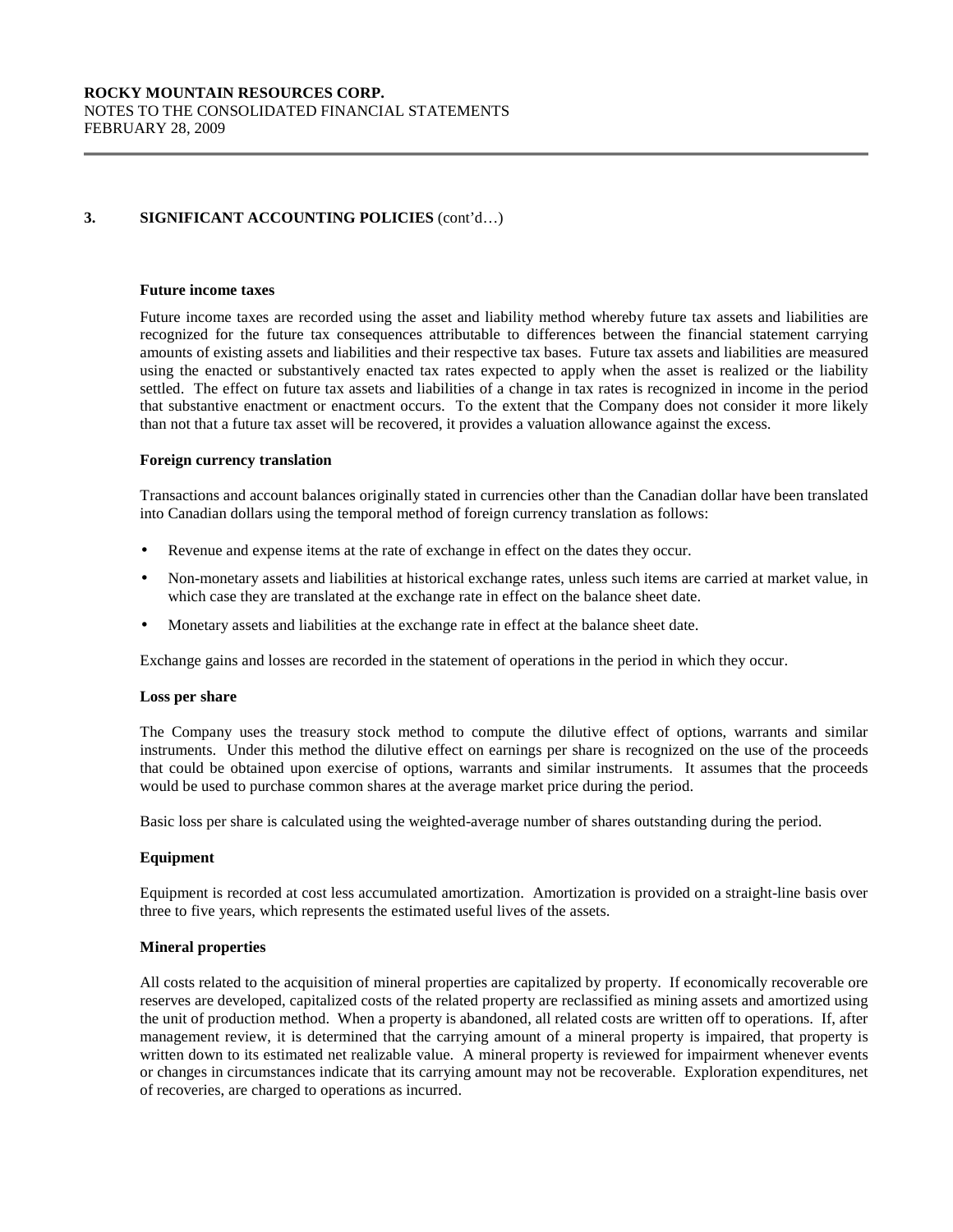# **3. SIGNIFICANT ACCOUNTING POLICIES** (cont'd…)

#### **Future income taxes**

 $\overline{a}$ 

Future income taxes are recorded using the asset and liability method whereby future tax assets and liabilities are recognized for the future tax consequences attributable to differences between the financial statement carrying amounts of existing assets and liabilities and their respective tax bases. Future tax assets and liabilities are measured using the enacted or substantively enacted tax rates expected to apply when the asset is realized or the liability settled. The effect on future tax assets and liabilities of a change in tax rates is recognized in income in the period that substantive enactment or enactment occurs. To the extent that the Company does not consider it more likely than not that a future tax asset will be recovered, it provides a valuation allowance against the excess.

## **Foreign currency translation**

Transactions and account balances originally stated in currencies other than the Canadian dollar have been translated into Canadian dollars using the temporal method of foreign currency translation as follows:

- Revenue and expense items at the rate of exchange in effect on the dates they occur.
- Non-monetary assets and liabilities at historical exchange rates, unless such items are carried at market value, in which case they are translated at the exchange rate in effect on the balance sheet date.
- Monetary assets and liabilities at the exchange rate in effect at the balance sheet date.

Exchange gains and losses are recorded in the statement of operations in the period in which they occur.

#### **Loss per share**

 The Company uses the treasury stock method to compute the dilutive effect of options, warrants and similar instruments. Under this method the dilutive effect on earnings per share is recognized on the use of the proceeds that could be obtained upon exercise of options, warrants and similar instruments. It assumes that the proceeds would be used to purchase common shares at the average market price during the period.

Basic loss per share is calculated using the weighted-average number of shares outstanding during the period.

#### **Equipment**

Equipment is recorded at cost less accumulated amortization. Amortization is provided on a straight-line basis over three to five years, which represents the estimated useful lives of the assets.

#### **Mineral properties**

 All costs related to the acquisition of mineral properties are capitalized by property. If economically recoverable ore reserves are developed, capitalized costs of the related property are reclassified as mining assets and amortized using the unit of production method. When a property is abandoned, all related costs are written off to operations. If, after management review, it is determined that the carrying amount of a mineral property is impaired, that property is written down to its estimated net realizable value. A mineral property is reviewed for impairment whenever events or changes in circumstances indicate that its carrying amount may not be recoverable. Exploration expenditures, net of recoveries, are charged to operations as incurred.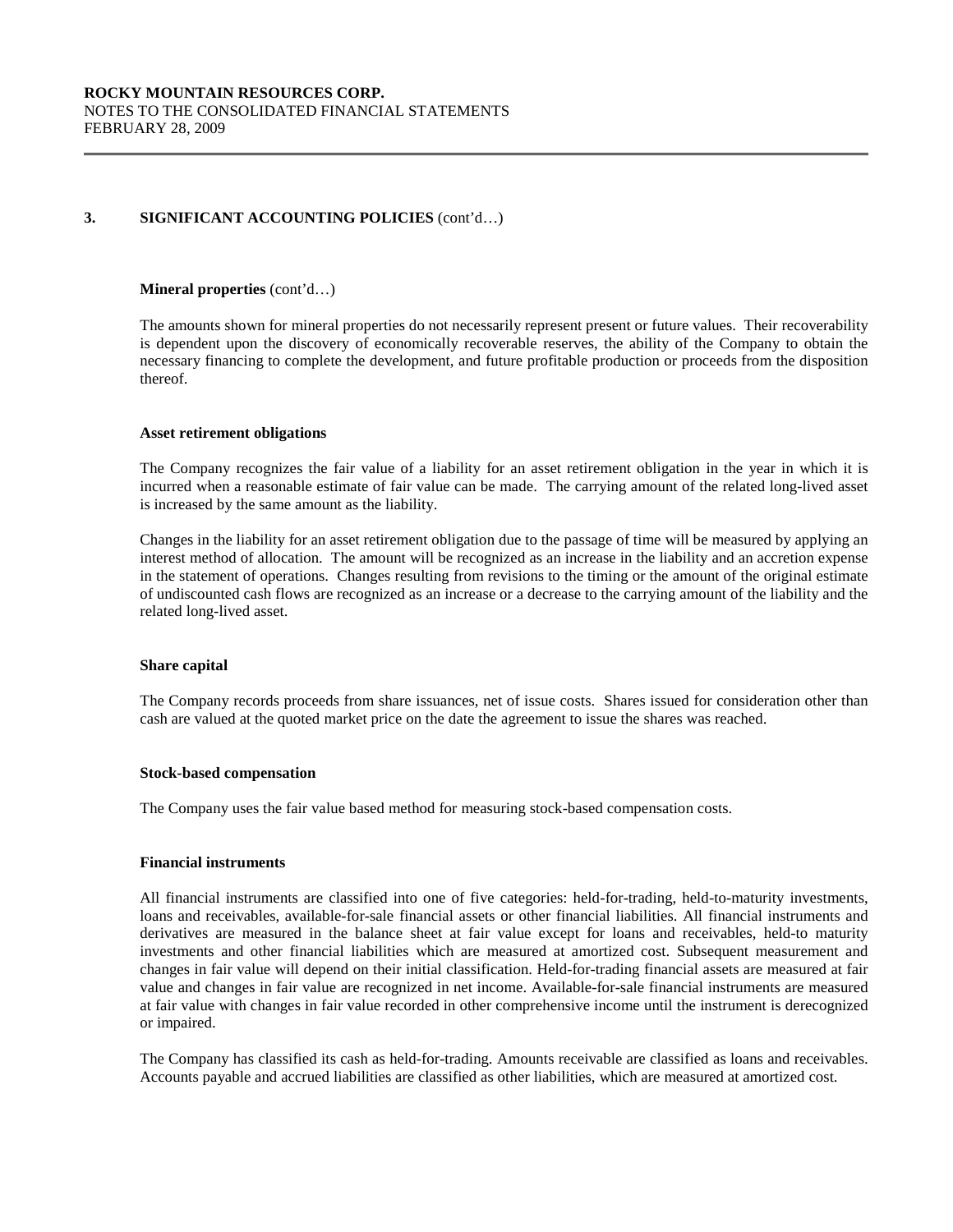# **3. SIGNIFICANT ACCOUNTING POLICIES** (cont'd…)

#### **Mineral properties** (cont'd…)

 $\overline{a}$ 

The amounts shown for mineral properties do not necessarily represent present or future values. Their recoverability is dependent upon the discovery of economically recoverable reserves, the ability of the Company to obtain the necessary financing to complete the development, and future profitable production or proceeds from the disposition thereof.

#### **Asset retirement obligations**

The Company recognizes the fair value of a liability for an asset retirement obligation in the year in which it is incurred when a reasonable estimate of fair value can be made. The carrying amount of the related long-lived asset is increased by the same amount as the liability.

 Changes in the liability for an asset retirement obligation due to the passage of time will be measured by applying an interest method of allocation. The amount will be recognized as an increase in the liability and an accretion expense in the statement of operations. Changes resulting from revisions to the timing or the amount of the original estimate of undiscounted cash flows are recognized as an increase or a decrease to the carrying amount of the liability and the related long-lived asset.

#### **Share capital**

The Company records proceeds from share issuances, net of issue costs. Shares issued for consideration other than cash are valued at the quoted market price on the date the agreement to issue the shares was reached.

#### **Stock-based compensation**

The Company uses the fair value based method for measuring stock-based compensation costs.

## **Financial instruments**

 All financial instruments are classified into one of five categories: held-for-trading, held-to-maturity investments, loans and receivables, available-for-sale financial assets or other financial liabilities. All financial instruments and derivatives are measured in the balance sheet at fair value except for loans and receivables, held-to maturity investments and other financial liabilities which are measured at amortized cost. Subsequent measurement and changes in fair value will depend on their initial classification. Held-for-trading financial assets are measured at fair value and changes in fair value are recognized in net income. Available-for-sale financial instruments are measured at fair value with changes in fair value recorded in other comprehensive income until the instrument is derecognized or impaired.

The Company has classified its cash as held-for-trading. Amounts receivable are classified as loans and receivables. Accounts payable and accrued liabilities are classified as other liabilities, which are measured at amortized cost.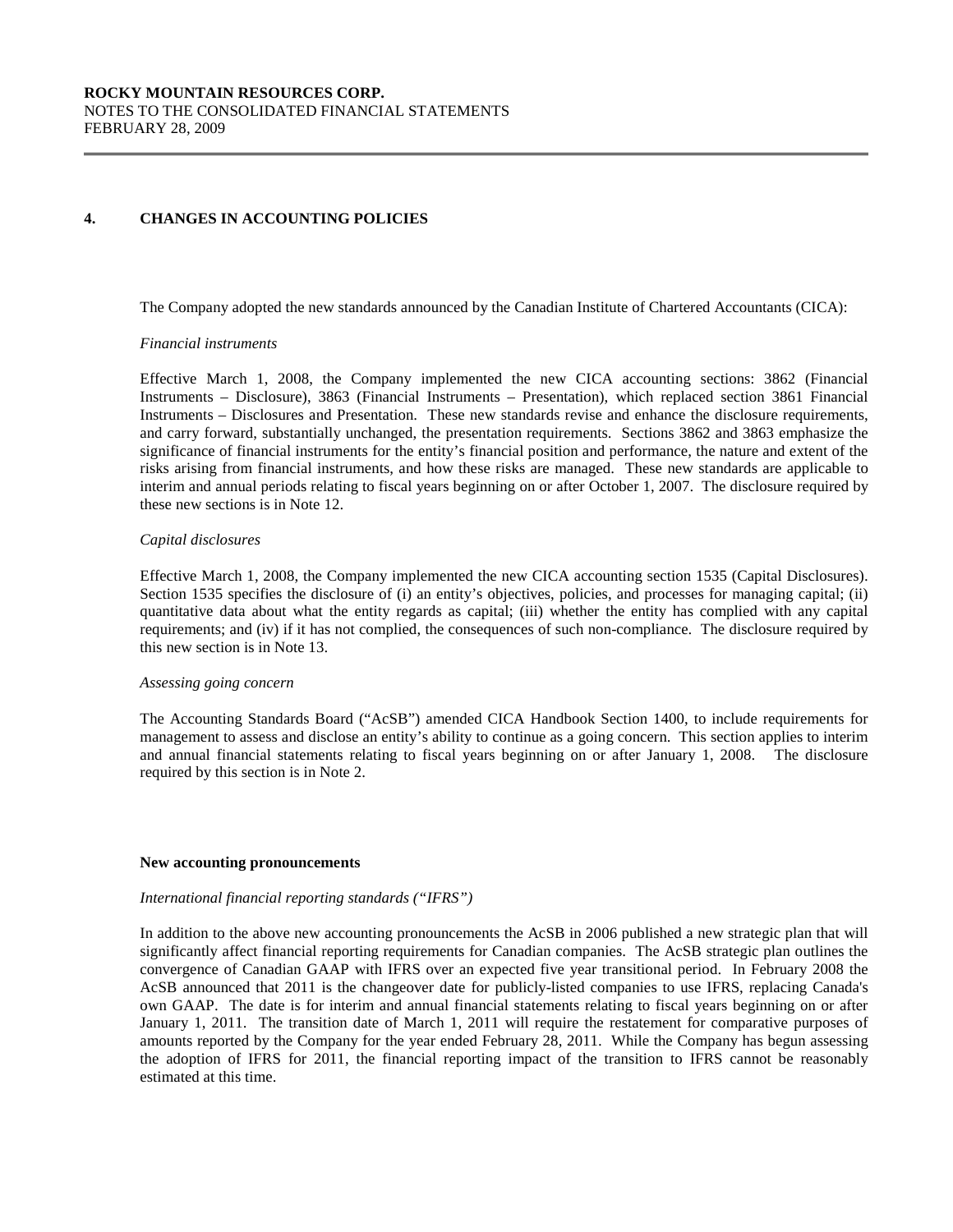# **4. CHANGES IN ACCOUNTING POLICIES**

The Company adopted the new standards announced by the Canadian Institute of Chartered Accountants (CICA):

#### *Financial instruments*

 $\overline{a}$ 

Effective March 1, 2008, the Company implemented the new CICA accounting sections: 3862 (Financial Instruments – Disclosure), 3863 (Financial Instruments – Presentation), which replaced section 3861 Financial Instruments – Disclosures and Presentation. These new standards revise and enhance the disclosure requirements, and carry forward, substantially unchanged, the presentation requirements. Sections 3862 and 3863 emphasize the significance of financial instruments for the entity's financial position and performance, the nature and extent of the risks arising from financial instruments, and how these risks are managed. These new standards are applicable to interim and annual periods relating to fiscal years beginning on or after October 1, 2007. The disclosure required by these new sections is in Note 12.

#### *Capital disclosures*

Effective March 1, 2008, the Company implemented the new CICA accounting section 1535 (Capital Disclosures). Section 1535 specifies the disclosure of (i) an entity's objectives, policies, and processes for managing capital; (ii) quantitative data about what the entity regards as capital; (iii) whether the entity has complied with any capital requirements; and (iv) if it has not complied, the consequences of such non-compliance. The disclosure required by this new section is in Note 13.

#### *Assessing going concern*

The Accounting Standards Board ("AcSB") amended CICA Handbook Section 1400, to include requirements for management to assess and disclose an entity's ability to continue as a going concern. This section applies to interim and annual financial statements relating to fiscal years beginning on or after January 1, 2008. The disclosure required by this section is in Note 2.

#### **New accounting pronouncements**

#### *International financial reporting standards ("IFRS")*

In addition to the above new accounting pronouncements the AcSB in 2006 published a new strategic plan that will significantly affect financial reporting requirements for Canadian companies. The AcSB strategic plan outlines the convergence of Canadian GAAP with IFRS over an expected five year transitional period. In February 2008 the AcSB announced that 2011 is the changeover date for publicly-listed companies to use IFRS, replacing Canada's own GAAP. The date is for interim and annual financial statements relating to fiscal years beginning on or after January 1, 2011. The transition date of March 1, 2011 will require the restatement for comparative purposes of amounts reported by the Company for the year ended February 28, 2011. While the Company has begun assessing the adoption of IFRS for 2011, the financial reporting impact of the transition to IFRS cannot be reasonably estimated at this time.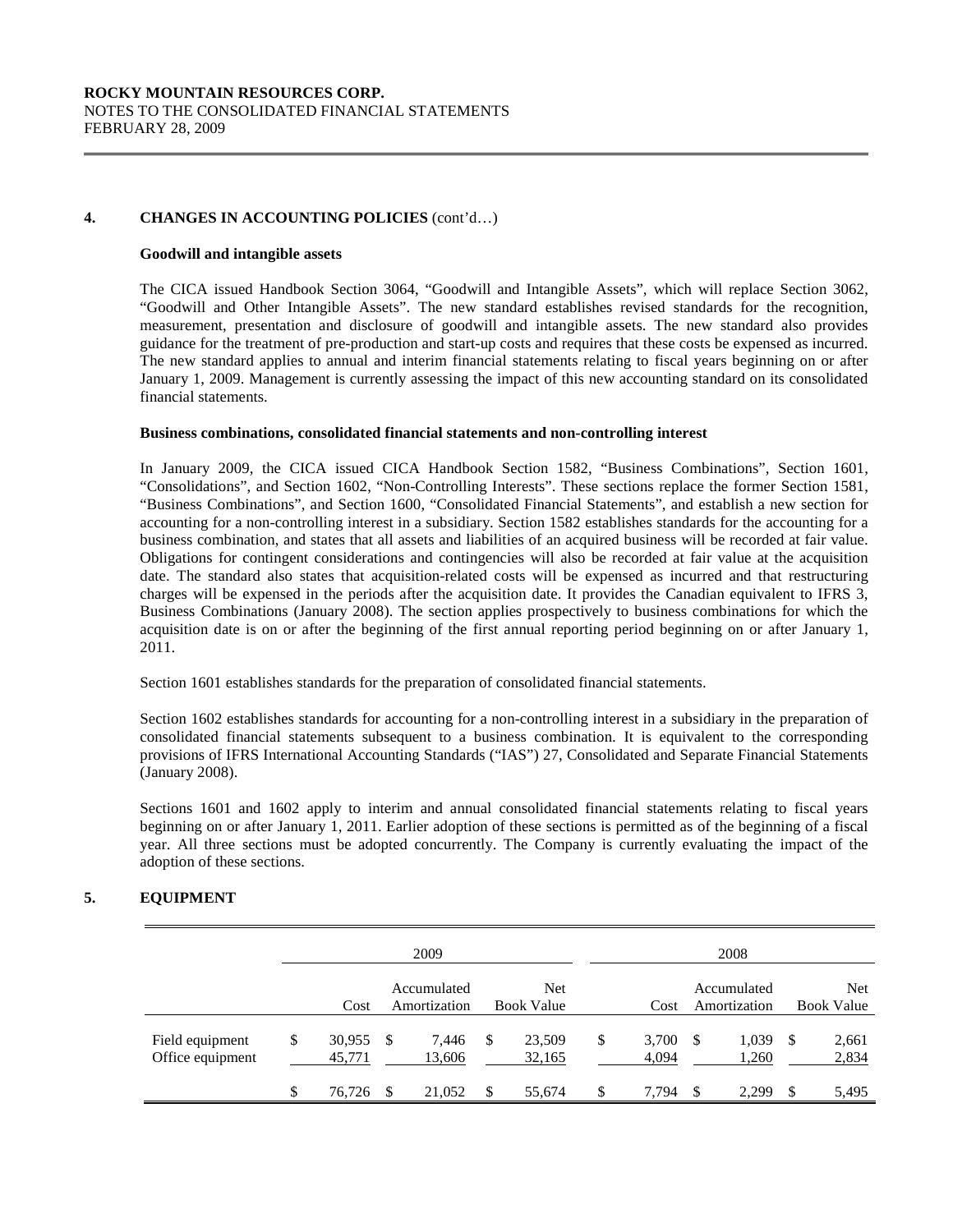# **4. CHANGES IN ACCOUNTING POLICIES** (cont'd…)

## **Goodwill and intangible assets**

 $\overline{a}$ 

The CICA issued Handbook Section 3064, "Goodwill and Intangible Assets", which will replace Section 3062, "Goodwill and Other Intangible Assets". The new standard establishes revised standards for the recognition, measurement, presentation and disclosure of goodwill and intangible assets. The new standard also provides guidance for the treatment of pre-production and start-up costs and requires that these costs be expensed as incurred. The new standard applies to annual and interim financial statements relating to fiscal years beginning on or after January 1, 2009. Management is currently assessing the impact of this new accounting standard on its consolidated financial statements.

# **Business combinations, consolidated financial statements and non-controlling interest**

In January 2009, the CICA issued CICA Handbook Section 1582, "Business Combinations", Section 1601, "Consolidations", and Section 1602, "Non-Controlling Interests". These sections replace the former Section 1581, "Business Combinations", and Section 1600, "Consolidated Financial Statements", and establish a new section for accounting for a non-controlling interest in a subsidiary. Section 1582 establishes standards for the accounting for a business combination, and states that all assets and liabilities of an acquired business will be recorded at fair value. Obligations for contingent considerations and contingencies will also be recorded at fair value at the acquisition date. The standard also states that acquisition-related costs will be expensed as incurred and that restructuring charges will be expensed in the periods after the acquisition date. It provides the Canadian equivalent to IFRS 3, Business Combinations (January 2008). The section applies prospectively to business combinations for which the acquisition date is on or after the beginning of the first annual reporting period beginning on or after January 1, 2011.

Section 1601 establishes standards for the preparation of consolidated financial statements.

Section 1602 establishes standards for accounting for a non-controlling interest in a subsidiary in the preparation of consolidated financial statements subsequent to a business combination. It is equivalent to the corresponding provisions of IFRS International Accounting Standards ("IAS") 27, Consolidated and Separate Financial Statements (January 2008).

Sections 1601 and 1602 apply to interim and annual consolidated financial statements relating to fiscal years beginning on or after January 1, 2011. Earlier adoption of these sections is permitted as of the beginning of a fiscal year. All three sections must be adopted concurrently. The Company is currently evaluating the impact of the adoption of these sections.

# **5. EQUIPMENT**

|                                     | 2009 |                  |      |                             |   |                          |    |                |    | 2008                        |                          |
|-------------------------------------|------|------------------|------|-----------------------------|---|--------------------------|----|----------------|----|-----------------------------|--------------------------|
|                                     |      | Cost             |      | Accumulated<br>Amortization |   | Net<br><b>Book Value</b> |    | Cost           |    | Accumulated<br>Amortization | <b>Net</b><br>Book Value |
| Field equipment<br>Office equipment | \$   | 30,955<br>45,771 | - \$ | 7,446<br>13,606             | S | 23,509<br>32,165         | \$ | 3,700<br>4,094 | S  | 1.039<br>1,260              | \$<br>2,661<br>2,834     |
|                                     | \$   | 76.726           |      | 21,052                      |   | 55,674                   | \$ | 7.794          | -S | 2.299                       | \$<br>5,495              |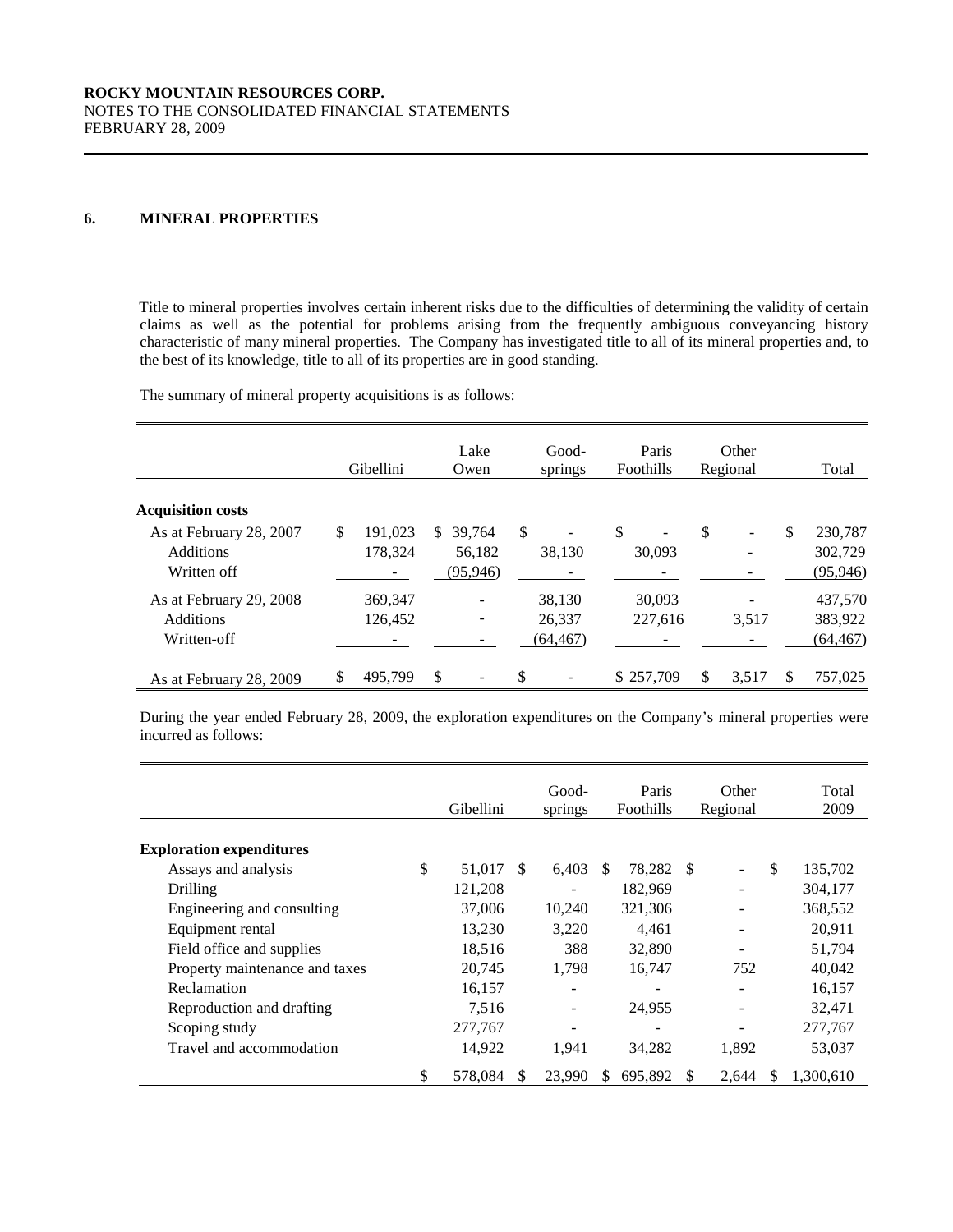# **6. MINERAL PROPERTIES**

 $\overline{a}$ 

 Title to mineral properties involves certain inherent risks due to the difficulties of determining the validity of certain claims as well as the potential for problems arising from the frequently ambiguous conveyancing history characteristic of many mineral properties. The Company has investigated title to all of its mineral properties and, to the best of its knowledge, title to all of its properties are in good standing.

The summary of mineral property acquisitions is as follows:

|                          | Gibellini     |     | Lake<br>Owen |               | Good-<br>springs | Paris<br>Foothills | Other<br>Regional |     | Total     |
|--------------------------|---------------|-----|--------------|---------------|------------------|--------------------|-------------------|-----|-----------|
| <b>Acquisition costs</b> |               |     |              |               |                  |                    |                   |     |           |
| As at February 28, 2007  | \$<br>191.023 | \$. | 39.764       | <sup>\$</sup> | ۰                | \$<br>۰            | \$<br>٠           | \$  | 230,787   |
| Additions                | 178,324       |     | 56,182       |               | 38,130           | 30,093             | -                 |     | 302,729   |
| Written off              |               |     | (95, 946)    |               |                  |                    |                   |     | (95, 946) |
| As at February 29, 2008  | 369,347       |     |              |               | 38,130           | 30,093             |                   |     | 437,570   |
| <b>Additions</b>         | 126,452       |     |              |               | 26,337           | 227,616            | 3,517             |     | 383,922   |
| Written-off              |               |     |              |               | (64, 467)        |                    |                   |     | (64, 467) |
| As at February 28, 2009  | \$<br>495.799 | \$  | -            | \$            |                  | \$257,709          | \$<br>3.517       | \$. | 757.025   |

 During the year ended February 28, 2009, the exploration expenditures on the Company's mineral properties were incurred as follows:

|                                 | Gibellini     |     | Good-<br>springs |    | Paris<br>Foothills |     | Other<br>Regional |    | Total<br>2009 |
|---------------------------------|---------------|-----|------------------|----|--------------------|-----|-------------------|----|---------------|
| <b>Exploration expenditures</b> |               |     |                  |    |                    |     |                   |    |               |
| Assays and analysis             | \$<br>51,017  | \$. | 6.403            | \$ | 78.282             | - S |                   | \$ | 135,702       |
| Drilling                        | 121.208       |     |                  |    | 182,969            |     |                   |    | 304,177       |
| Engineering and consulting      | 37,006        |     | 10.240           |    | 321,306            |     |                   |    | 368,552       |
| Equipment rental                | 13.230        |     | 3,220            |    | 4.461              |     |                   |    | 20,911        |
| Field office and supplies       | 18.516        |     | 388              |    | 32,890             |     |                   |    | 51,794        |
| Property maintenance and taxes  | 20.745        |     | 1.798            |    | 16,747             |     | 752               |    | 40,042        |
| Reclamation                     | 16,157        |     |                  |    |                    |     |                   |    | 16,157        |
| Reproduction and drafting       | 7.516         |     |                  |    | 24,955             |     | ۰                 |    | 32,471        |
| Scoping study                   | 277,767       |     |                  |    |                    |     |                   |    | 277,767       |
| Travel and accommodation        | 14,922        |     | 1,941            |    | 34,282             |     | 1,892             |    | 53,037        |
|                                 | \$<br>578,084 | S.  | 23.990           | S. | 695.892            |     | 2.644             | S. | 1.300.610     |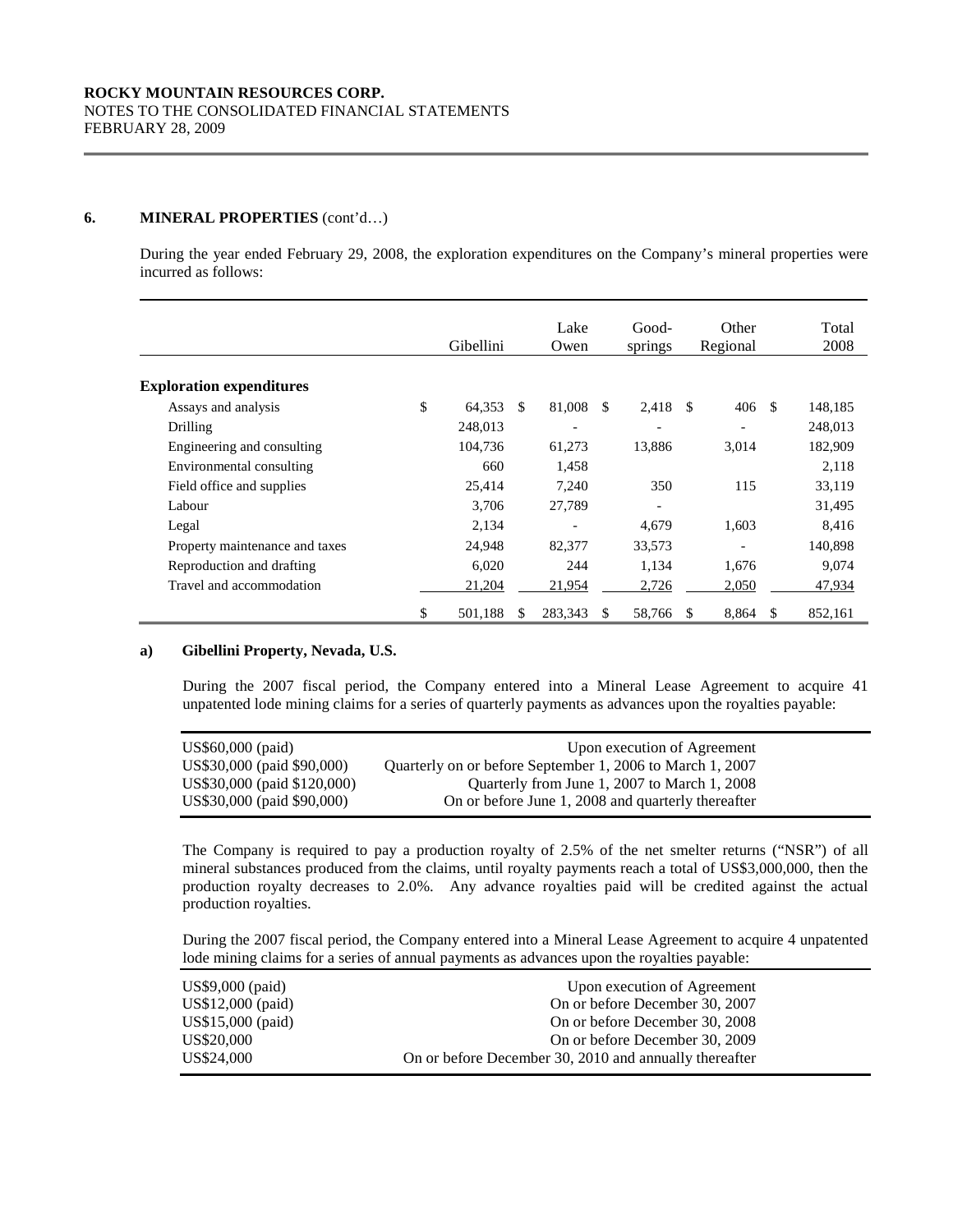$\overline{a}$ 

 During the year ended February 29, 2008, the exploration expenditures on the Company's mineral properties were incurred as follows:

|                                 |               |               | Lake                     |               | Good-                    |     | Other    |     | Total   |
|---------------------------------|---------------|---------------|--------------------------|---------------|--------------------------|-----|----------|-----|---------|
|                                 | Gibellini     |               | Owen                     |               | springs                  |     | Regional |     | 2008    |
| <b>Exploration expenditures</b> |               |               |                          |               |                          |     |          |     |         |
| Assays and analysis             | \$<br>64,353  | <sup>\$</sup> | 81,008                   | <sup>\$</sup> | 2,418                    | -\$ | 406      | -\$ | 148,185 |
| Drilling                        | 248,013       |               |                          |               | $\overline{\phantom{a}}$ |     |          |     | 248,013 |
| Engineering and consulting      | 104,736       |               | 61,273                   |               | 13,886                   |     | 3,014    |     | 182,909 |
| Environmental consulting        | 660           |               | 1,458                    |               |                          |     |          |     | 2,118   |
| Field office and supplies       | 25,414        |               | 7,240                    |               | 350                      |     | 115      |     | 33,119  |
| Labour                          | 3,706         |               | 27,789                   |               | $\overline{\phantom{a}}$ |     |          |     | 31,495  |
| Legal                           | 2,134         |               | $\overline{\phantom{a}}$ |               | 4,679                    |     | 1,603    |     | 8,416   |
| Property maintenance and taxes  | 24,948        |               | 82,377                   |               | 33,573                   |     |          |     | 140,898 |
| Reproduction and drafting       | 6,020         |               | 244                      |               | 1,134                    |     | 1,676    |     | 9,074   |
| Travel and accommodation        | 21,204        |               | 21,954                   |               | 2,726                    |     | 2,050    |     | 47,934  |
|                                 | \$<br>501,188 | S             | 283,343                  | \$.           | 58,766                   | S   | 8,864    | \$. | 852,161 |

# **a) Gibellini Property, Nevada, U.S.**

During the 2007 fiscal period, the Company entered into a Mineral Lease Agreement to acquire 41 unpatented lode mining claims for a series of quarterly payments as advances upon the royalties payable:

| US\$60,000 (paid)           | Upon execution of Agreement                               |
|-----------------------------|-----------------------------------------------------------|
| US\$30,000 (paid \$90,000)  | Quarterly on or before September 1, 2006 to March 1, 2007 |
| US\$30,000 (paid \$120,000) | Ouarterly from June 1, 2007 to March 1, 2008              |
| US\$30,000 (paid \$90,000)  | On or before June 1, 2008 and quarterly thereafter        |

The Company is required to pay a production royalty of 2.5% of the net smelter returns ("NSR") of all mineral substances produced from the claims, until royalty payments reach a total of US\$3,000,000, then the production royalty decreases to 2.0%. Any advance royalties paid will be credited against the actual production royalties.

During the 2007 fiscal period, the Company entered into a Mineral Lease Agreement to acquire 4 unpatented lode mining claims for a series of annual payments as advances upon the royalties payable:

| $US$9,000$ (paid) | Upon execution of Agreement                            |
|-------------------|--------------------------------------------------------|
| US\$12,000 (paid) | On or before December 30, 2007                         |
| US\$15,000 (paid) | On or before December 30, 2008                         |
| US\$20,000        | On or before December 30, 2009                         |
| US\$24,000        | On or before December 30, 2010 and annually thereafter |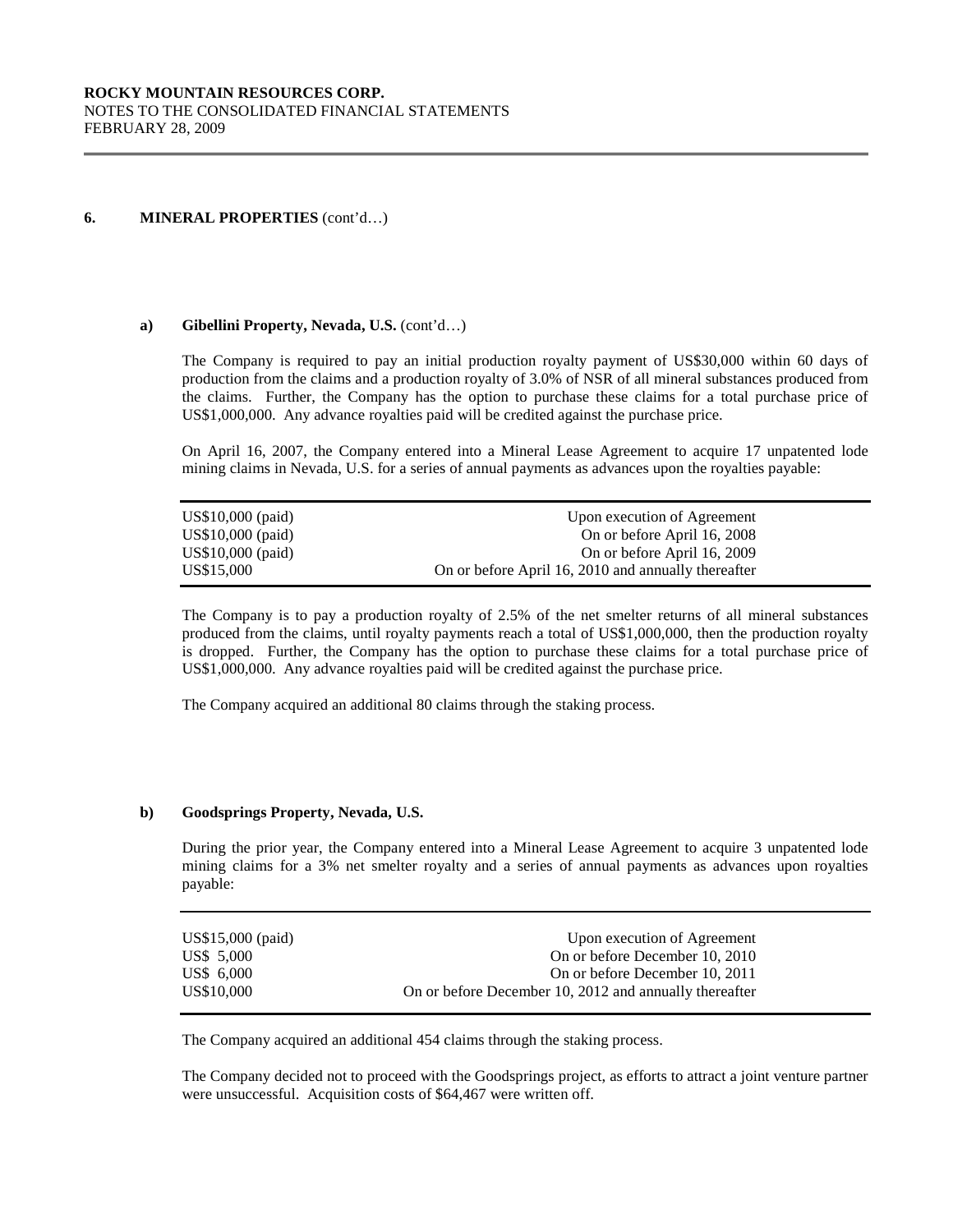$\overline{a}$ 

#### **a) Gibellini Property, Nevada, U.S.** (cont'd…)

The Company is required to pay an initial production royalty payment of US\$30,000 within 60 days of production from the claims and a production royalty of 3.0% of NSR of all mineral substances produced from the claims. Further, the Company has the option to purchase these claims for a total purchase price of US\$1,000,000. Any advance royalties paid will be credited against the purchase price.

On April 16, 2007, the Company entered into a Mineral Lease Agreement to acquire 17 unpatented lode mining claims in Nevada, U.S. for a series of annual payments as advances upon the royalties payable:

| US\$10,000 (paid)  | Upon execution of Agreement                         |
|--------------------|-----------------------------------------------------|
| $US$10,000$ (paid) | On or before April 16, 2008                         |
| US\$10,000 (paid)  | On or before April 16, 2009                         |
| US\$15,000         | On or before April 16, 2010 and annually thereafter |

The Company is to pay a production royalty of 2.5% of the net smelter returns of all mineral substances produced from the claims, until royalty payments reach a total of US\$1,000,000, then the production royalty is dropped. Further, the Company has the option to purchase these claims for a total purchase price of US\$1,000,000. Any advance royalties paid will be credited against the purchase price.

The Company acquired an additional 80 claims through the staking process.

#### **b) Goodsprings Property, Nevada, U.S.**

During the prior year, the Company entered into a Mineral Lease Agreement to acquire 3 unpatented lode mining claims for a 3% net smelter royalty and a series of annual payments as advances upon royalties payable:

| US\$15,000 (paid) | Upon execution of Agreement                            |
|-------------------|--------------------------------------------------------|
| US\$ 5,000        | On or before December 10, 2010                         |
| US\$ 6,000        | On or before December 10, 2011                         |
| US\$10,000        | On or before December 10, 2012 and annually thereafter |

The Company acquired an additional 454 claims through the staking process.

The Company decided not to proceed with the Goodsprings project, as efforts to attract a joint venture partner were unsuccessful. Acquisition costs of \$64,467 were written off.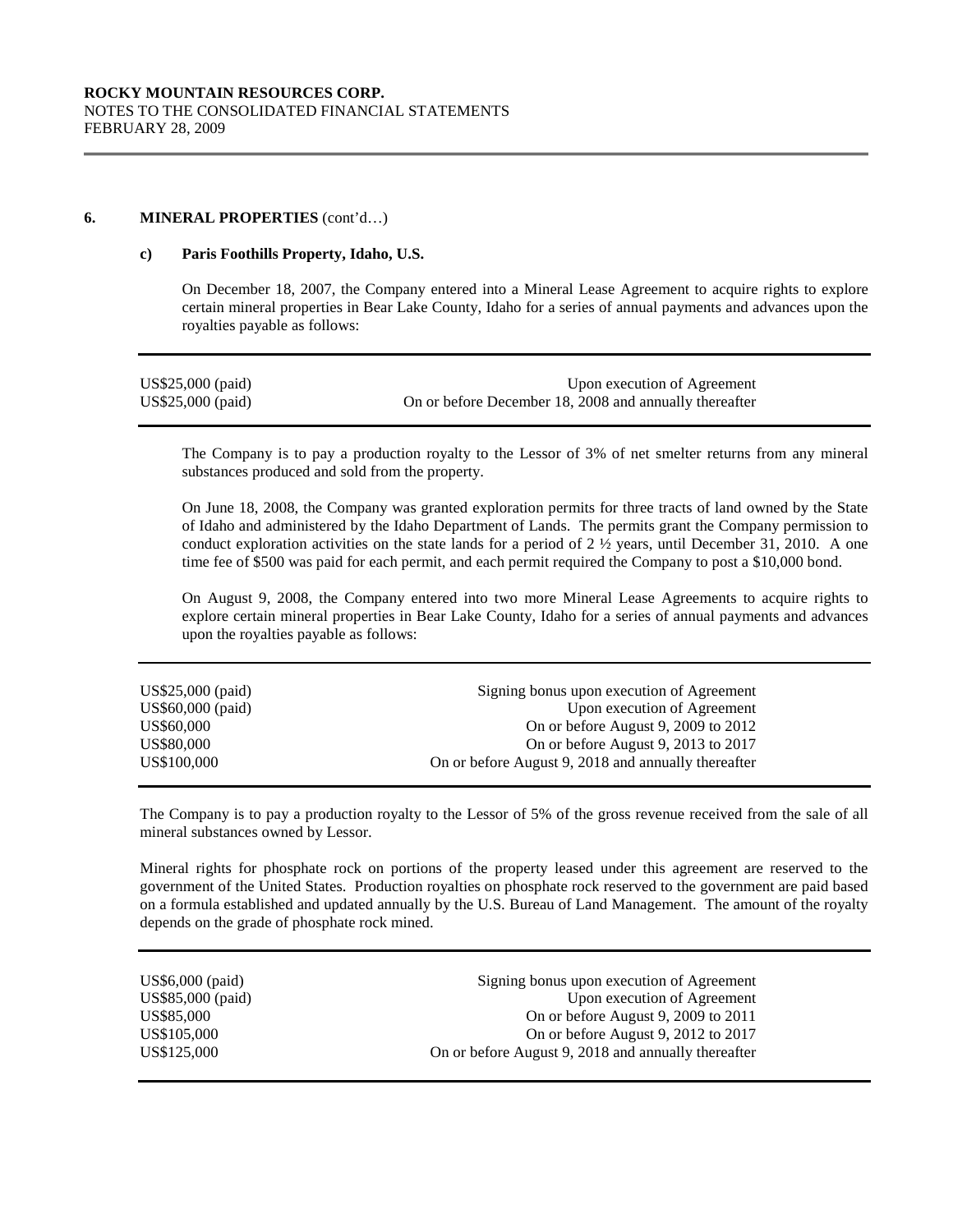$\overline{a}$ 

#### **c) Paris Foothills Property, Idaho, U.S.**

On December 18, 2007, the Company entered into a Mineral Lease Agreement to acquire rights to explore certain mineral properties in Bear Lake County, Idaho for a series of annual payments and advances upon the royalties payable as follows:

| US\$25,000 (paid) | Upon execution of Agreement                            |
|-------------------|--------------------------------------------------------|
| US\$25,000 (paid) | On or before December 18, 2008 and annually thereafter |

The Company is to pay a production royalty to the Lessor of 3% of net smelter returns from any mineral substances produced and sold from the property.

On June 18, 2008, the Company was granted exploration permits for three tracts of land owned by the State of Idaho and administered by the Idaho Department of Lands. The permits grant the Company permission to conduct exploration activities on the state lands for a period of  $2 \frac{1}{2}$  years, until December 31, 2010. A one time fee of \$500 was paid for each permit, and each permit required the Company to post a \$10,000 bond.

On August 9, 2008, the Company entered into two more Mineral Lease Agreements to acquire rights to explore certain mineral properties in Bear Lake County, Idaho for a series of annual payments and advances upon the royalties payable as follows:

| $US$25,000$ (paid) | Signing bonus upon execution of Agreement           |
|--------------------|-----------------------------------------------------|
| US\$60,000 (paid)  | Upon execution of Agreement                         |
| US\$60,000         | On or before August 9, 2009 to 2012                 |
| US\$80,000         | On or before August 9, 2013 to 2017                 |
| US\$100,000        | On or before August 9, 2018 and annually thereafter |

The Company is to pay a production royalty to the Lessor of 5% of the gross revenue received from the sale of all mineral substances owned by Lessor.

Mineral rights for phosphate rock on portions of the property leased under this agreement are reserved to the government of the United States. Production royalties on phosphate rock reserved to the government are paid based on a formula established and updated annually by the U.S. Bureau of Land Management. The amount of the royalty depends on the grade of phosphate rock mined.

| $US\$ 6,000 (paid) | Signing bonus upon execution of Agreement           |
|--------------------|-----------------------------------------------------|
| US\$85,000 (paid)  | Upon execution of Agreement                         |
| US\$85,000         | On or before August 9, 2009 to 2011                 |
| US\$105,000        | On or before August 9, 2012 to 2017                 |
| US\$125,000        | On or before August 9, 2018 and annually thereafter |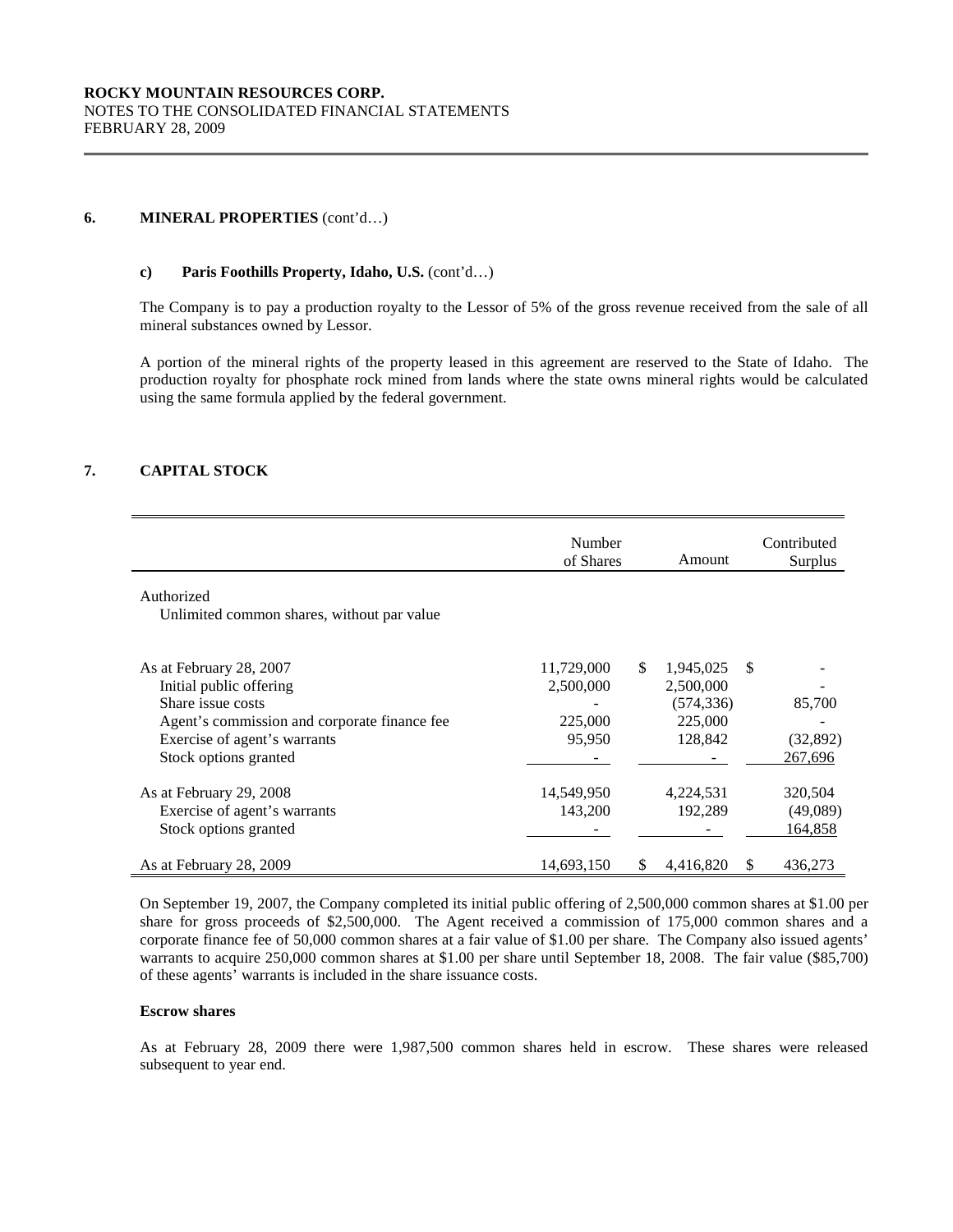#### **c) Paris Foothills Property, Idaho, U.S.** (cont'd…)

The Company is to pay a production royalty to the Lessor of 5% of the gross revenue received from the sale of all mineral substances owned by Lessor.

A portion of the mineral rights of the property leased in this agreement are reserved to the State of Idaho. The production royalty for phosphate rock mined from lands where the state owns mineral rights would be calculated using the same formula applied by the federal government.

# **7. CAPITAL STOCK**

 $\overline{a}$ 

|                                                                                                                                                                                  | Number<br>of Shares                          |     | Amount                                                     |    | Contributed<br>Surplus         |
|----------------------------------------------------------------------------------------------------------------------------------------------------------------------------------|----------------------------------------------|-----|------------------------------------------------------------|----|--------------------------------|
| Authorized<br>Unlimited common shares, without par value                                                                                                                         |                                              |     |                                                            |    |                                |
| As at February 28, 2007<br>Initial public offering<br>Share issue costs<br>Agent's commission and corporate finance fee<br>Exercise of agent's warrants<br>Stock options granted | 11,729,000<br>2,500,000<br>225,000<br>95,950 | \$. | 1,945,025<br>2,500,000<br>(574, 336)<br>225,000<br>128,842 | -S | 85,700<br>(32,892)<br>267,696  |
| As at February 29, 2008<br>Exercise of agent's warrants<br>Stock options granted                                                                                                 | 14,549,950<br>143,200                        |     | 4,224,531<br>192,289                                       |    | 320,504<br>(49,089)<br>164,858 |
| As at February 28, 2009                                                                                                                                                          | 14,693,150                                   | S   | 4,416,820                                                  | S  | 436,273                        |

On September 19, 2007, the Company completed its initial public offering of 2,500,000 common shares at \$1.00 per share for gross proceeds of \$2,500,000. The Agent received a commission of 175,000 common shares and a corporate finance fee of 50,000 common shares at a fair value of \$1.00 per share. The Company also issued agents' warrants to acquire 250,000 common shares at \$1.00 per share until September 18, 2008. The fair value (\$85,700) of these agents' warrants is included in the share issuance costs.

#### **Escrow shares**

As at February 28, 2009 there were 1,987,500 common shares held in escrow. These shares were released subsequent to year end.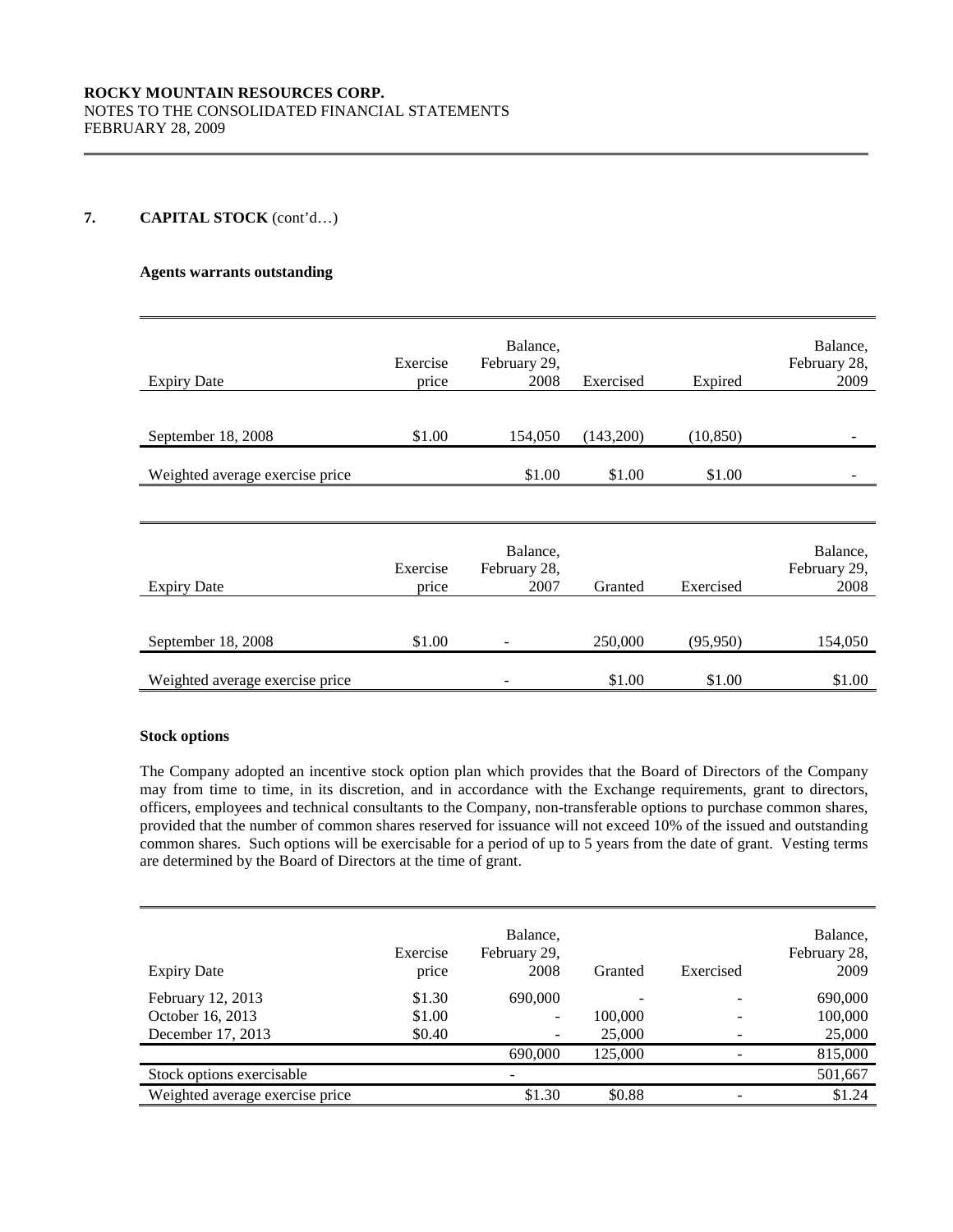# **7. CAPITAL STOCK** (cont'd…)

 $\overline{a}$ 

# **Agents warrants outstanding**

| <b>Expiry Date</b>              | Exercise<br>price | Balance,<br>February 29,<br>2008 | Exercised | Expired   | Balance,<br>February 28,<br>2009 |
|---------------------------------|-------------------|----------------------------------|-----------|-----------|----------------------------------|
| September 18, 2008              | \$1.00            | 154,050                          | (143,200) | (10, 850) |                                  |
| Weighted average exercise price |                   | \$1.00                           | \$1.00    | \$1.00    |                                  |
|                                 |                   |                                  |           |           |                                  |
| <b>Expiry Date</b>              | Exercise<br>price | Balance,<br>February 28,<br>2007 | Granted   | Exercised | Balance,<br>February 29,<br>2008 |
| September 18, 2008              | \$1.00            |                                  | 250,000   | (95, 950) | 154,050                          |
| Weighted average exercise price |                   |                                  | \$1.00    | \$1.00    | \$1.00                           |

# **Stock options**

 The Company adopted an incentive stock option plan which provides that the Board of Directors of the Company may from time to time, in its discretion, and in accordance with the Exchange requirements, grant to directors, officers, employees and technical consultants to the Company, non-transferable options to purchase common shares, provided that the number of common shares reserved for issuance will not exceed 10% of the issued and outstanding common shares. Such options will be exercisable for a period of up to 5 years from the date of grant. Vesting terms are determined by the Board of Directors at the time of grant.

| <b>Expiry Date</b>              | Exercise<br>price | Balance,<br>February 29,<br>2008 | Granted | Exercised | Balance,<br>February 28,<br>2009 |
|---------------------------------|-------------------|----------------------------------|---------|-----------|----------------------------------|
| February 12, 2013               | \$1.30            | 690,000                          |         |           | 690,000                          |
| October 16, 2013                | \$1.00            | $\overline{\phantom{0}}$         | 100,000 |           | 100,000                          |
| December 17, 2013               | \$0.40            |                                  | 25,000  |           | 25,000                           |
|                                 |                   | 690,000                          | 125,000 |           | 815,000                          |
| Stock options exercisable       |                   |                                  |         |           | 501,667                          |
| Weighted average exercise price |                   | \$1.30                           | \$0.88  |           | \$1.24                           |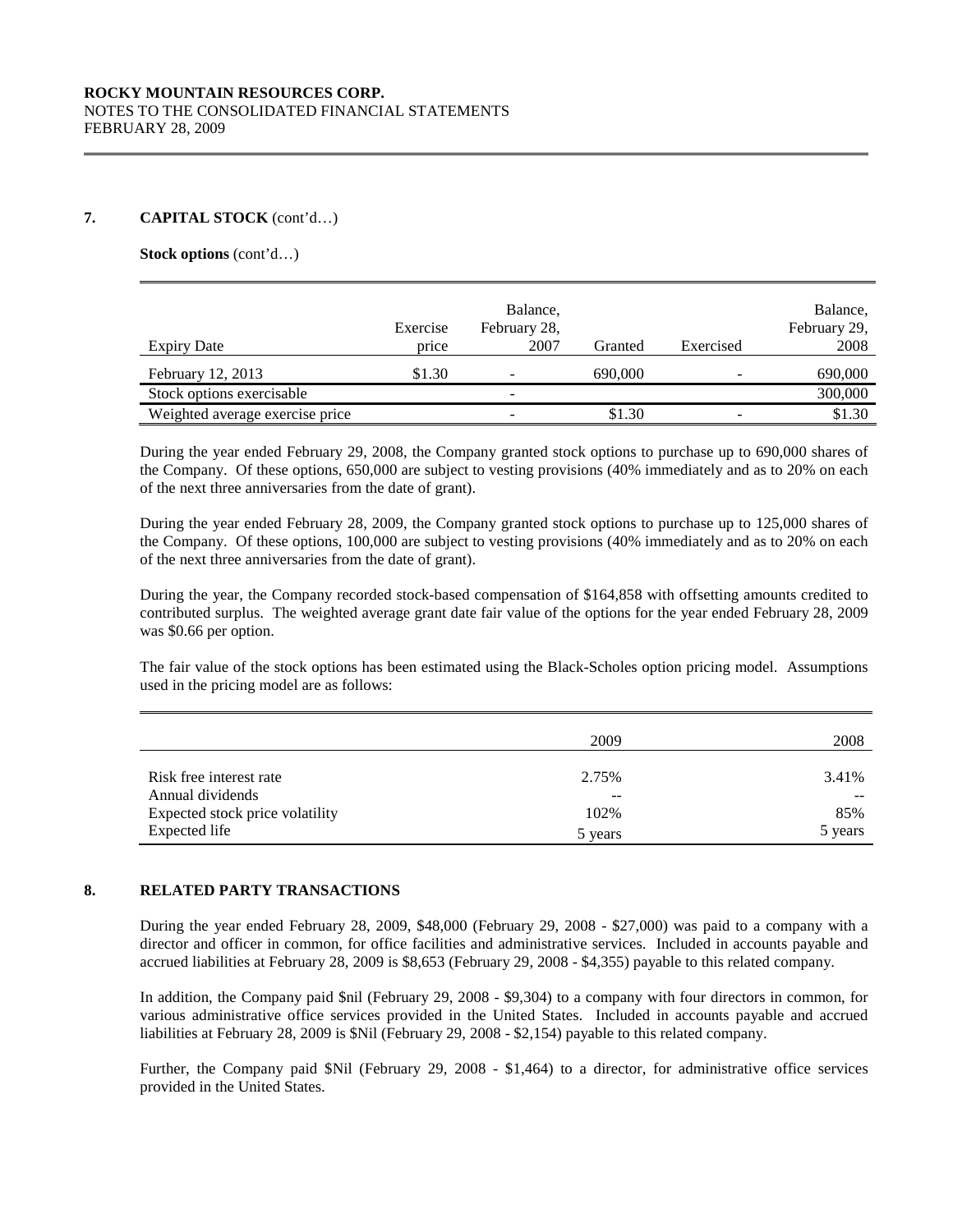# **7. CAPITAL STOCK** (cont'd…)

 $\overline{a}$ 

**Stock options** (cont'd…)

| <b>Expiry Date</b>              | Exercise<br>price | Balance,<br>February 28,<br>2007 | Granted | Exercised | Balance,<br>February 29,<br>2008 |
|---------------------------------|-------------------|----------------------------------|---------|-----------|----------------------------------|
| February 12, 2013               | \$1.30            |                                  | 690,000 |           | 690,000                          |
| Stock options exercisable       |                   |                                  |         |           | 300,000                          |
| Weighted average exercise price |                   |                                  | \$1.30  |           | \$1.30                           |

During the year ended February 29, 2008, the Company granted stock options to purchase up to 690,000 shares of the Company. Of these options, 650,000 are subject to vesting provisions (40% immediately and as to 20% on each of the next three anniversaries from the date of grant).

During the year ended February 28, 2009, the Company granted stock options to purchase up to 125,000 shares of the Company. Of these options, 100,000 are subject to vesting provisions (40% immediately and as to 20% on each of the next three anniversaries from the date of grant).

During the year, the Company recorded stock-based compensation of \$164,858 with offsetting amounts credited to contributed surplus. The weighted average grant date fair value of the options for the year ended February 28, 2009 was \$0.66 per option.

The fair value of the stock options has been estimated using the Black-Scholes option pricing model. Assumptions used in the pricing model are as follows:

|                                 | 2009    | 2008    |
|---------------------------------|---------|---------|
| Risk free interest rate         | 2.75%   | 3.41%   |
| Annual dividends                | $- -$   | $- -$   |
| Expected stock price volatility | 102%    | 85%     |
| Expected life                   | 5 years | 5 years |

# **8. RELATED PARTY TRANSACTIONS**

During the year ended February 28, 2009, \$48,000 (February 29, 2008 - \$27,000) was paid to a company with a director and officer in common, for office facilities and administrative services. Included in accounts payable and accrued liabilities at February 28, 2009 is \$8,653 (February 29, 2008 - \$4,355) payable to this related company.

In addition, the Company paid \$nil (February 29, 2008 - \$9,304) to a company with four directors in common, for various administrative office services provided in the United States. Included in accounts payable and accrued liabilities at February 28, 2009 is \$Nil (February 29, 2008 - \$2,154) payable to this related company.

Further, the Company paid \$Nil (February 29, 2008 - \$1,464) to a director, for administrative office services provided in the United States.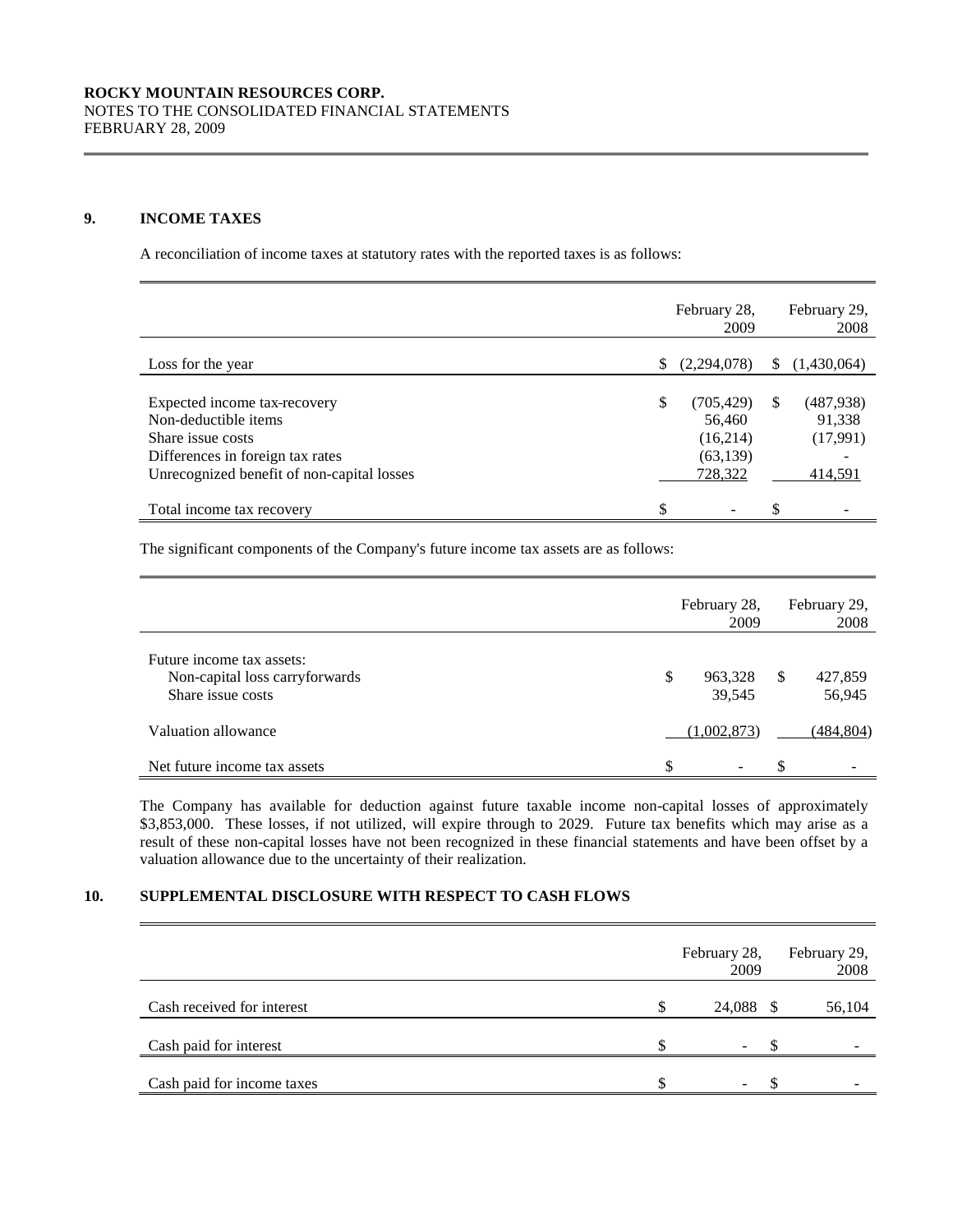# **9. INCOME TAXES**

 $\overline{a}$ 

A reconciliation of income taxes at statutory rates with the reported taxes is as follows:

|                                                                                                                                                             |    | February 28,<br>2009                                     |               | February 29,<br>2008                       |
|-------------------------------------------------------------------------------------------------------------------------------------------------------------|----|----------------------------------------------------------|---------------|--------------------------------------------|
| Loss for the year                                                                                                                                           | S. | (2,294,078)                                              | S             | (1,430,064)                                |
| Expected income tax-recovery<br>Non-deductible items<br>Share issue costs<br>Differences in foreign tax rates<br>Unrecognized benefit of non-capital losses | \$ | (705, 429)<br>56,460<br>(16,214)<br>(63, 139)<br>728,322 | <sup>\$</sup> | (487,938)<br>91,338<br>(17,991)<br>414,591 |
| Total income tax recovery                                                                                                                                   |    | $\overline{\phantom{0}}$                                 | -S            |                                            |

The significant components of the Company's future income tax assets are as follows:

|                                                                                  |     | February 28,<br>2009     |    | February 29,<br>2008     |
|----------------------------------------------------------------------------------|-----|--------------------------|----|--------------------------|
| Future income tax assets:<br>Non-capital loss carryforwards<br>Share issue costs | \$  | 963,328<br>39,545        | S  | 427,859<br>56,945        |
| Valuation allowance                                                              |     | (1,002,873)              |    | (484,804)                |
| Net future income tax assets                                                     | \$. | $\overline{\phantom{m}}$ | -S | $\overline{\phantom{0}}$ |

 The Company has available for deduction against future taxable income non-capital losses of approximately \$3,853,000. These losses, if not utilized, will expire through to 2029. Future tax benefits which may arise as a result of these non-capital losses have not been recognized in these financial statements and have been offset by a valuation allowance due to the uncertainty of their realization.

# **10. SUPPLEMENTAL DISCLOSURE WITH RESPECT TO CASH FLOWS**

|                            | February 28,<br>2009 | February 29,<br>2008 |
|----------------------------|----------------------|----------------------|
| Cash received for interest | 24,088               | 56,104               |
| Cash paid for interest     | -                    |                      |
| Cash paid for income taxes | ۰                    |                      |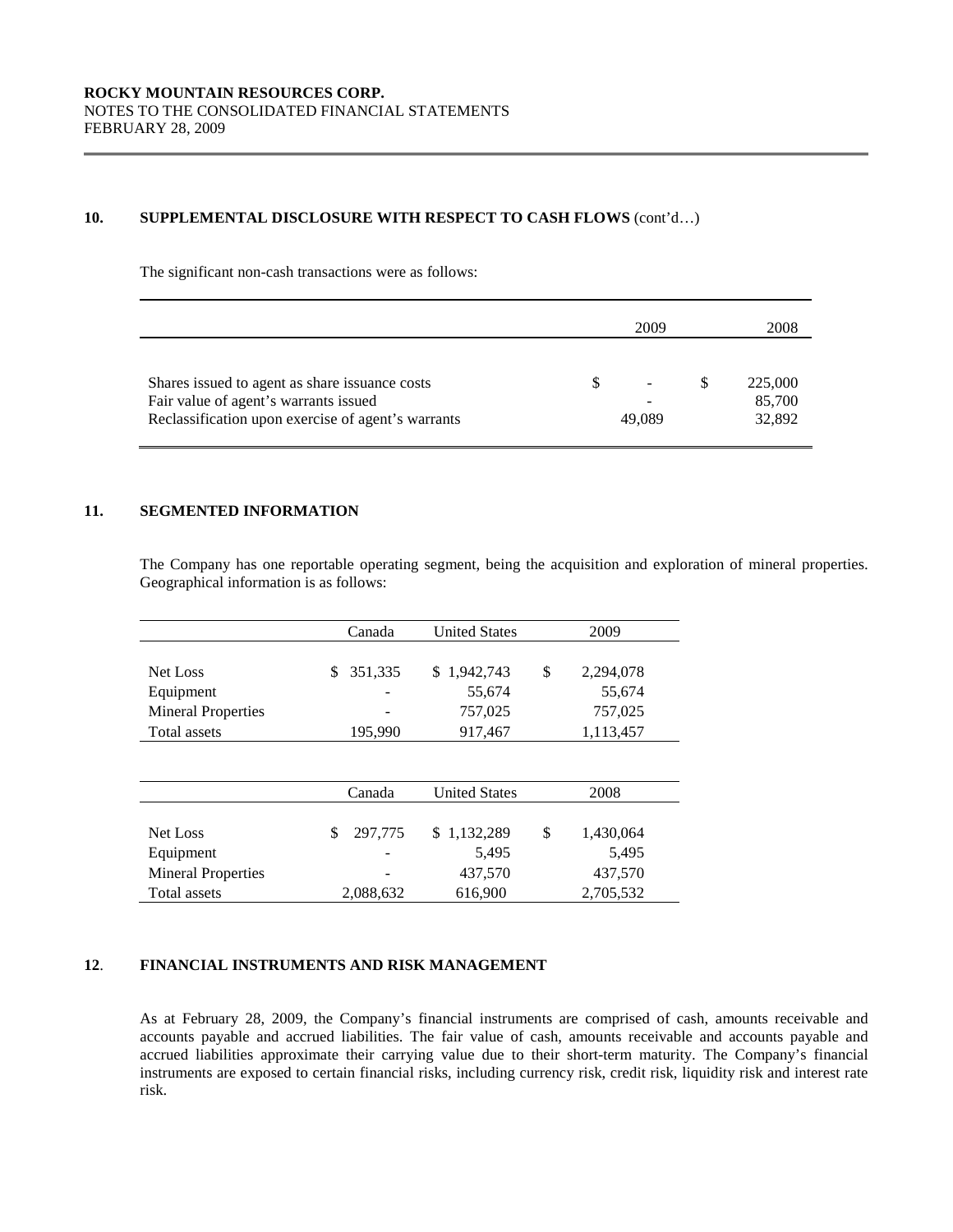# **10. SUPPLEMENTAL DISCLOSURE WITH RESPECT TO CASH FLOWS** (cont'd…)

The significant non-cash transactions were as follows:

|                                                                                                                                               | 2009   | 2008                        |
|-----------------------------------------------------------------------------------------------------------------------------------------------|--------|-----------------------------|
| Shares issued to agent as share issuance costs<br>Fair value of agent's warrants issued<br>Reclassification upon exercise of agent's warrants | 49.089 | 225,000<br>85,700<br>32,892 |

# **11. SEGMENTED INFORMATION**

The Company has one reportable operating segment, being the acquisition and exploration of mineral properties. Geographical information is as follows:

|                           | Canada        | <b>United States</b> | 2009 |           |
|---------------------------|---------------|----------------------|------|-----------|
|                           |               |                      |      |           |
| <b>Net Loss</b>           | 351,335<br>\$ | \$1,942,743          | \$   | 2,294,078 |
| Equipment                 |               | 55,674               |      | 55,674    |
| <b>Mineral Properties</b> |               | 757,025              |      | 757,025   |
| Total assets              | 195,990       | 917,467              |      | 1,113,457 |
|                           |               |                      |      |           |
|                           |               |                      |      |           |
|                           | Canada        | <b>United States</b> |      | 2008      |
|                           |               |                      |      |           |
| <b>Net Loss</b>           | 297,775<br>\$ | \$1,132,289          | \$   | 1,430,064 |
| Equipment                 |               | 5,495                |      | 5,495     |
| <b>Mineral Properties</b> |               | 437,570              |      | 437,570   |
| Total assets              | 2,088,632     | 616,900              |      | 2,705,532 |

# **12**. **FINANCIAL INSTRUMENTS AND RISK MANAGEMENT**

As at February 28, 2009, the Company's financial instruments are comprised of cash, amounts receivable and accounts payable and accrued liabilities. The fair value of cash, amounts receivable and accounts payable and accrued liabilities approximate their carrying value due to their short-term maturity. The Company's financial instruments are exposed to certain financial risks, including currency risk, credit risk, liquidity risk and interest rate risk.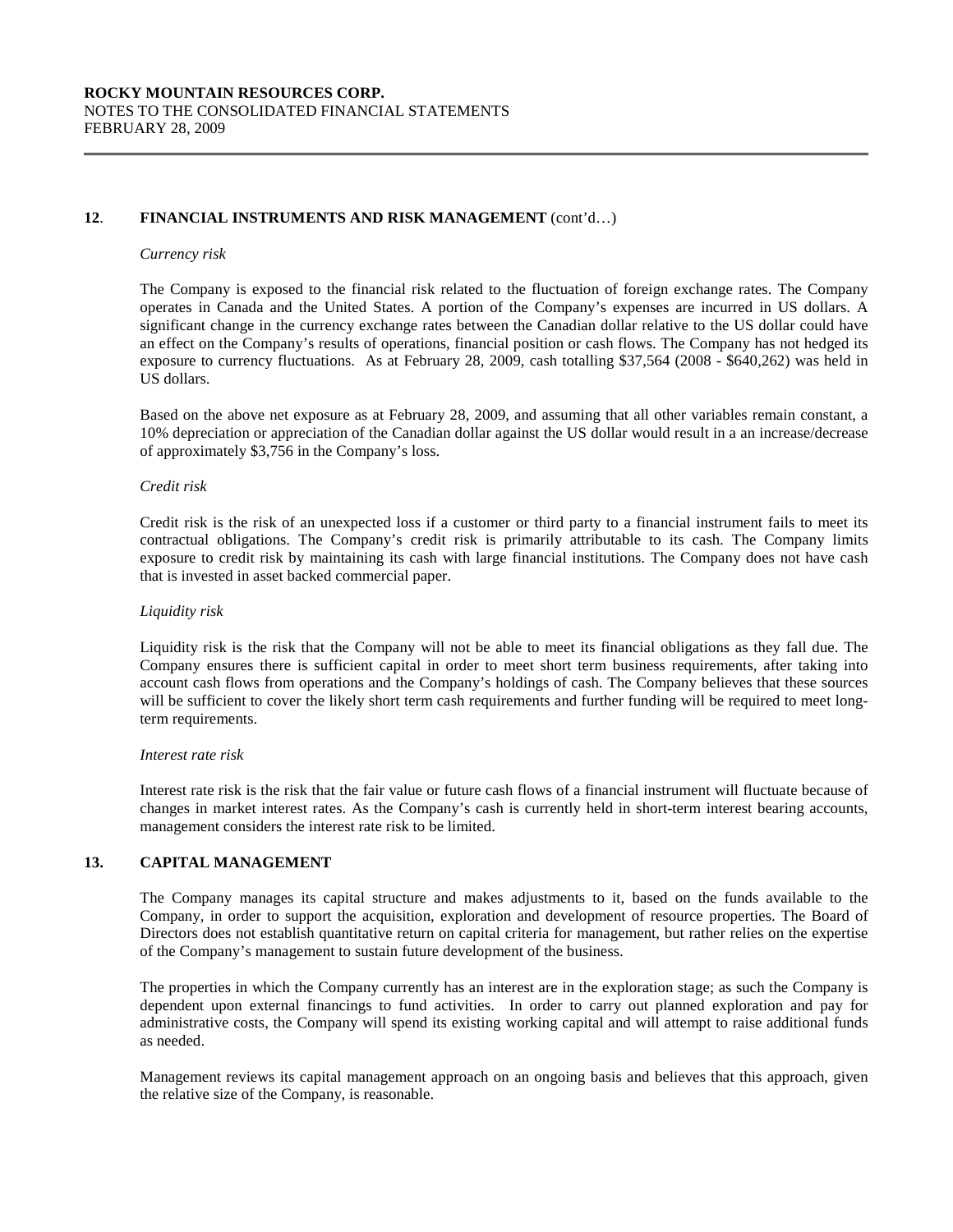# **12**. **FINANCIAL INSTRUMENTS AND RISK MANAGEMENT** (cont'd…)

#### *Currency risk*

 $\overline{a}$ 

The Company is exposed to the financial risk related to the fluctuation of foreign exchange rates. The Company operates in Canada and the United States. A portion of the Company's expenses are incurred in US dollars. A significant change in the currency exchange rates between the Canadian dollar relative to the US dollar could have an effect on the Company's results of operations, financial position or cash flows. The Company has not hedged its exposure to currency fluctuations. As at February 28, 2009, cash totalling \$37,564 (2008 - \$640,262) was held in US dollars.

Based on the above net exposure as at February 28, 2009, and assuming that all other variables remain constant, a 10% depreciation or appreciation of the Canadian dollar against the US dollar would result in a an increase/decrease of approximately \$3,756 in the Company's loss.

#### *Credit risk*

Credit risk is the risk of an unexpected loss if a customer or third party to a financial instrument fails to meet its contractual obligations. The Company's credit risk is primarily attributable to its cash. The Company limits exposure to credit risk by maintaining its cash with large financial institutions. The Company does not have cash that is invested in asset backed commercial paper.

#### *Liquidity risk*

Liquidity risk is the risk that the Company will not be able to meet its financial obligations as they fall due. The Company ensures there is sufficient capital in order to meet short term business requirements, after taking into account cash flows from operations and the Company's holdings of cash. The Company believes that these sources will be sufficient to cover the likely short term cash requirements and further funding will be required to meet longterm requirements.

#### *Interest rate risk*

Interest rate risk is the risk that the fair value or future cash flows of a financial instrument will fluctuate because of changes in market interest rates. As the Company's cash is currently held in short-term interest bearing accounts, management considers the interest rate risk to be limited.

## **13. CAPITAL MANAGEMENT**

 The Company manages its capital structure and makes adjustments to it, based on the funds available to the Company, in order to support the acquisition, exploration and development of resource properties. The Board of Directors does not establish quantitative return on capital criteria for management, but rather relies on the expertise of the Company's management to sustain future development of the business.

 The properties in which the Company currently has an interest are in the exploration stage; as such the Company is dependent upon external financings to fund activities. In order to carry out planned exploration and pay for administrative costs, the Company will spend its existing working capital and will attempt to raise additional funds as needed.

 Management reviews its capital management approach on an ongoing basis and believes that this approach, given the relative size of the Company, is reasonable.